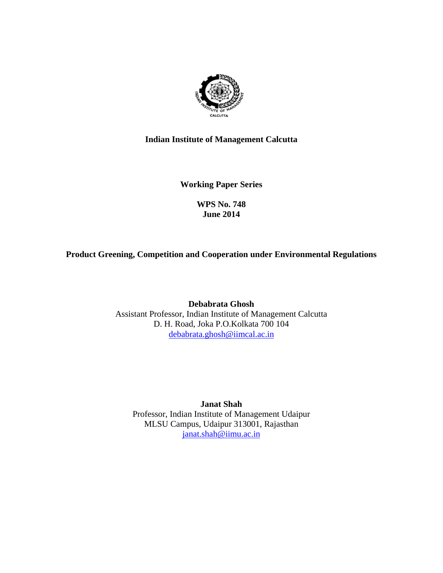

## **Indian Institute of Management Calcutta**

**Working Paper Series** 

**WPS No. 748 June 2014**

## **Product Greening, Competition and Cooperation under Environmental Regulations**

**Debabrata Ghosh**  Assistant Professor, Indian Institute of Management Calcutta D. H. Road, Joka P.O.Kolkata 700 104 debabrata.ghosh@iimcal.ac.in

**Janat Shah**  Professor, Indian Institute of Management Udaipur MLSU Campus, Udaipur 313001, Rajasthan janat.shah@iimu.ac.in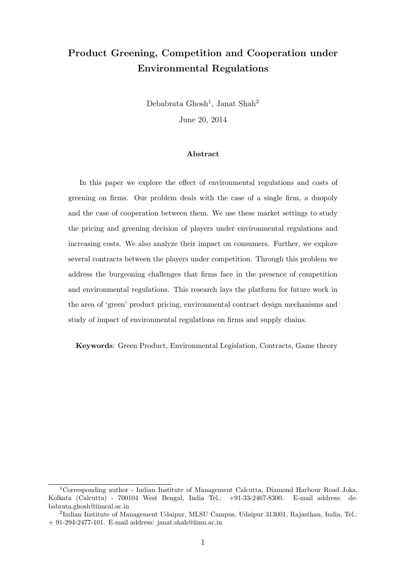# Product Greening, Competition and Cooperation under Environmental Regulations

Debabrata Ghosh<sup>1</sup>, Janat Shah<sup>2</sup>

June 20, 2014

#### Abstract

In this paper we explore the effect of environmental regulations and costs of greening on firms. Our problem deals with the case of a single firm, a duopoly and the case of cooperation between them. We use these market settings to study the pricing and greening decision of players under environmental regulations and increasing costs. We also analyze their impact on consumers. Further, we explore several contracts between the players under competition. Through this problem we address the burgeoning challenges that firms face in the presence of competition and environmental regulations. This research lays the platform for future work in the area of 'green' product pricing, environmental contract design mechanisms and study of impact of environmental regulations on firms and supply chains.

Keywords: Green Product, Environmental Legislation, Contracts, Game theory

<sup>1</sup>Corresponding author - Indian Institute of Management Calcutta, Diamond Harbour Road Joka, Kolkata (Calcutta) - 700104 West Bengal, India Tel.: +91-33-2467-8300. E-mail address: debabrata.ghosh@iimcal.ac.in

<sup>&</sup>lt;sup>2</sup>Indian Institute of Management Udaipur, MLSU Campus, Udaipur 313001, Rajasthan, India, Tel.: + 91-294-2477-101. E-mail address: janat.shah@iimu.ac.in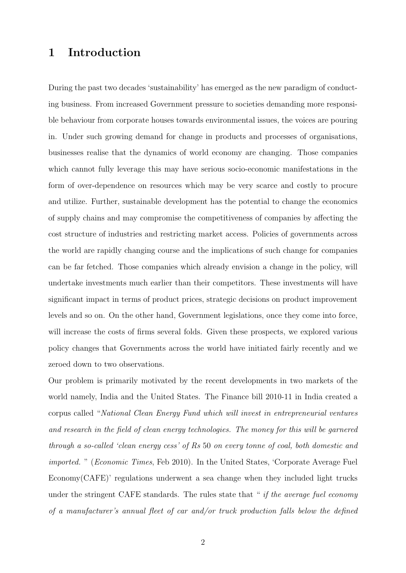# 1 Introduction

During the past two decades 'sustainability' has emerged as the new paradigm of conducting business. From increased Government pressure to societies demanding more responsible behaviour from corporate houses towards environmental issues, the voices are pouring in. Under such growing demand for change in products and processes of organisations, businesses realise that the dynamics of world economy are changing. Those companies which cannot fully leverage this may have serious socio-economic manifestations in the form of over-dependence on resources which may be very scarce and costly to procure and utilize. Further, sustainable development has the potential to change the economics of supply chains and may compromise the competitiveness of companies by affecting the cost structure of industries and restricting market access. Policies of governments across the world are rapidly changing course and the implications of such change for companies can be far fetched. Those companies which already envision a change in the policy, will undertake investments much earlier than their competitors. These investments will have significant impact in terms of product prices, strategic decisions on product improvement levels and so on. On the other hand, Government legislations, once they come into force, will increase the costs of firms several folds. Given these prospects, we explored various policy changes that Governments across the world have initiated fairly recently and we zeroed down to two observations.

Our problem is primarily motivated by the recent developments in two markets of the world namely, India and the United States. The Finance bill 2010-11 in India created a corpus called "National Clean Energy Fund which will invest in entrepreneurial ventures and research in the field of clean energy technologies. The money for this will be garnered through a so-called 'clean energy cess' of Rs 50 on every tonne of coal, both domestic and imported. " (Economic Times, Feb 2010). In the United States, 'Corporate Average Fuel Economy(CAFE)' regulations underwent a sea change when they included light trucks under the stringent CAFE standards. The rules state that "*if the average fuel economy* of a manufacturer's annual fleet of car and/or truck production falls below the defined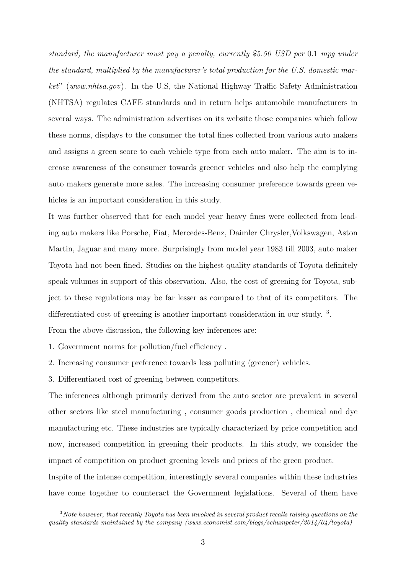standard, the manufacturer must pay a penalty, currently \$5.50 USD per 0.1 mpg under the standard, multiplied by the manufacturer's total production for the U.S. domestic market" (www.nhtsa.gov). In the U.S, the National Highway Traffic Safety Administration (NHTSA) regulates CAFE standards and in return helps automobile manufacturers in several ways. The administration advertises on its website those companies which follow these norms, displays to the consumer the total fines collected from various auto makers and assigns a green score to each vehicle type from each auto maker. The aim is to increase awareness of the consumer towards greener vehicles and also help the complying auto makers generate more sales. The increasing consumer preference towards green vehicles is an important consideration in this study.

It was further observed that for each model year heavy fines were collected from leading auto makers like Porsche, Fiat, Mercedes-Benz, Daimler Chrysler,Volkswagen, Aston Martin, Jaguar and many more. Surprisingly from model year 1983 till 2003, auto maker Toyota had not been fined. Studies on the highest quality standards of Toyota definitely speak volumes in support of this observation. Also, the cost of greening for Toyota, subject to these regulations may be far lesser as compared to that of its competitors. The differentiated cost of greening is another important consideration in our study.<sup>3</sup>.

From the above discussion, the following key inferences are:

1. Government norms for pollution/fuel efficiency .

2. Increasing consumer preference towards less polluting (greener) vehicles.

3. Differentiated cost of greening between competitors.

The inferences although primarily derived from the auto sector are prevalent in several other sectors like steel manufacturing , consumer goods production , chemical and dye manufacturing etc. These industries are typically characterized by price competition and now, increased competition in greening their products. In this study, we consider the impact of competition on product greening levels and prices of the green product.

Inspite of the intense competition, interestingly several companies within these industries have come together to counteract the Government legislations. Several of them have

 $3$ Note however, that recently Toyota has been involved in several product recalls raising questions on the quality standards maintained by the company (www.economist.com/blogs/schumpeter/2014/04/toyota)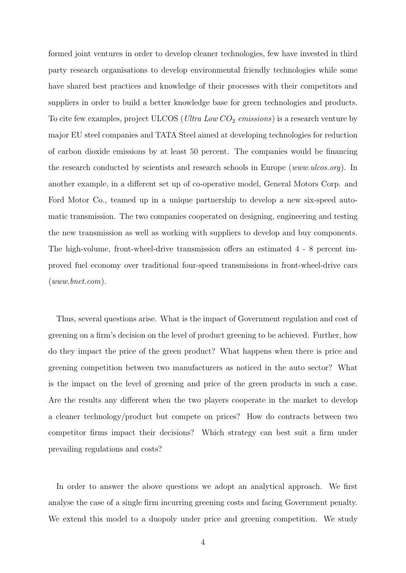formed joint ventures in order to develop cleaner technologies, few have invested in third party research organisations to develop environmental friendly technologies while some have shared best practices and knowledge of their processes with their competitors and suppliers in order to build a better knowledge base for green technologies and products. To cite few examples, project ULCOS (*Ultra Low CO*<sub>2</sub> emissions) is a research venture by major EU steel companies and TATA Steel aimed at developing technologies for reduction of carbon dioxide emissions by at least 50 percent. The companies would be financing the research conducted by scientists and research schools in Europe (www.ulcos.org). In another example, in a different set up of co-operative model, General Motors Corp. and Ford Motor Co., teamed up in a unique partnership to develop a new six-speed automatic transmission. The two companies cooperated on designing, engineering and testing the new transmission as well as working with suppliers to develop and buy components. The high-volume, front-wheel-drive transmission offers an estimated 4 - 8 percent improved fuel economy over traditional four-speed transmissions in front-wheel-drive cars (www.bnet.com).

Thus, several questions arise. What is the impact of Government regulation and cost of greening on a firm's decision on the level of product greening to be achieved. Further, how do they impact the price of the green product? What happens when there is price and greening competition between two manufacturers as noticed in the auto sector? What is the impact on the level of greening and price of the green products in such a case. Are the results any different when the two players cooperate in the market to develop a cleaner technology/product but compete on prices? How do contracts between two competitor firms impact their decisions? Which strategy can best suit a firm under prevailing regulations and costs?

In order to answer the above questions we adopt an analytical approach. We first analyse the case of a single firm incurring greening costs and facing Government penalty. We extend this model to a duopoly under price and greening competition. We study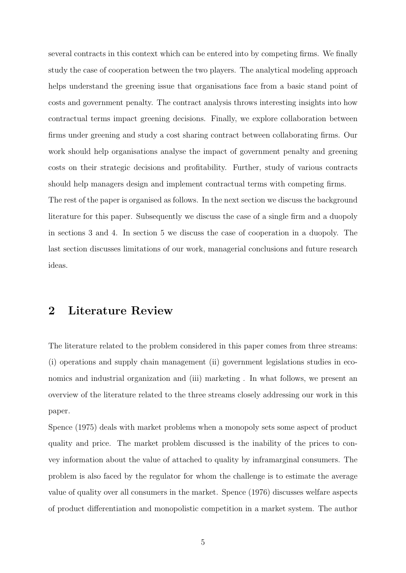several contracts in this context which can be entered into by competing firms. We finally study the case of cooperation between the two players. The analytical modeling approach helps understand the greening issue that organisations face from a basic stand point of costs and government penalty. The contract analysis throws interesting insights into how contractual terms impact greening decisions. Finally, we explore collaboration between firms under greening and study a cost sharing contract between collaborating firms. Our work should help organisations analyse the impact of government penalty and greening costs on their strategic decisions and profitability. Further, study of various contracts should help managers design and implement contractual terms with competing firms. The rest of the paper is organised as follows. In the next section we discuss the background

literature for this paper. Subsequently we discuss the case of a single firm and a duopoly in sections 3 and 4. In section 5 we discuss the case of cooperation in a duopoly. The last section discusses limitations of our work, managerial conclusions and future research ideas.

## 2 Literature Review

The literature related to the problem considered in this paper comes from three streams: (i) operations and supply chain management (ii) government legislations studies in economics and industrial organization and (iii) marketing . In what follows, we present an overview of the literature related to the three streams closely addressing our work in this paper.

Spence (1975) deals with market problems when a monopoly sets some aspect of product quality and price. The market problem discussed is the inability of the prices to convey information about the value of attached to quality by inframarginal consumers. The problem is also faced by the regulator for whom the challenge is to estimate the average value of quality over all consumers in the market. Spence (1976) discusses welfare aspects of product differentiation and monopolistic competition in a market system. The author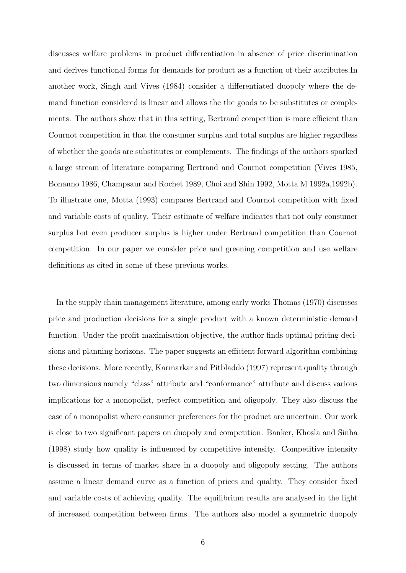discusses welfare problems in product differentiation in absence of price discrimination and derives functional forms for demands for product as a function of their attributes.In another work, Singh and Vives (1984) consider a differentiated duopoly where the demand function considered is linear and allows the the goods to be substitutes or complements. The authors show that in this setting, Bertrand competition is more efficient than Cournot competition in that the consumer surplus and total surplus are higher regardless of whether the goods are substitutes or complements. The findings of the authors sparked a large stream of literature comparing Bertrand and Cournot competition (Vives 1985, Bonanno 1986, Champsaur and Rochet 1989, Choi and Shin 1992, Motta M 1992a,1992b). To illustrate one, Motta (1993) compares Bertrand and Cournot competition with fixed and variable costs of quality. Their estimate of welfare indicates that not only consumer surplus but even producer surplus is higher under Bertrand competition than Cournot competition. In our paper we consider price and greening competition and use welfare definitions as cited in some of these previous works.

In the supply chain management literature, among early works Thomas (1970) discusses price and production decisions for a single product with a known deterministic demand function. Under the profit maximisation objective, the author finds optimal pricing decisions and planning horizons. The paper suggests an efficient forward algorithm combining these decisions. More recently, Karmarkar and Pitbladdo (1997) represent quality through two dimensions namely "class" attribute and "conformance" attribute and discuss various implications for a monopolist, perfect competition and oligopoly. They also discuss the case of a monopolist where consumer preferences for the product are uncertain. Our work is close to two significant papers on duopoly and competition. Banker, Khosla and Sinha (1998) study how quality is influenced by competitive intensity. Competitive intensity is discussed in terms of market share in a duopoly and oligopoly setting. The authors assume a linear demand curve as a function of prices and quality. They consider fixed and variable costs of achieving quality. The equilibrium results are analysed in the light of increased competition between firms. The authors also model a symmetric duopoly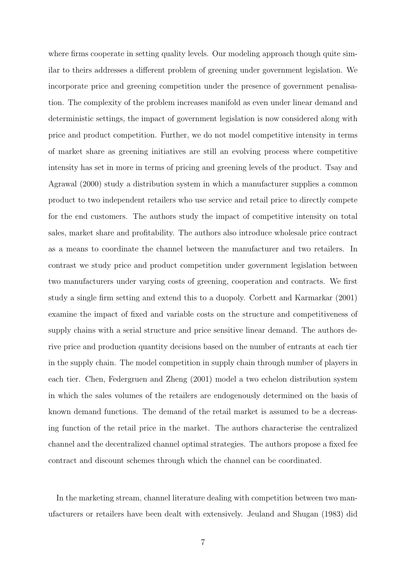where firms cooperate in setting quality levels. Our modeling approach though quite similar to theirs addresses a different problem of greening under government legislation. We incorporate price and greening competition under the presence of government penalisation. The complexity of the problem increases manifold as even under linear demand and deterministic settings, the impact of government legislation is now considered along with price and product competition. Further, we do not model competitive intensity in terms of market share as greening initiatives are still an evolving process where competitive intensity has set in more in terms of pricing and greening levels of the product. Tsay and Agrawal (2000) study a distribution system in which a manufacturer supplies a common product to two independent retailers who use service and retail price to directly compete for the end customers. The authors study the impact of competitive intensity on total sales, market share and profitability. The authors also introduce wholesale price contract as a means to coordinate the channel between the manufacturer and two retailers. In contrast we study price and product competition under government legislation between two manufacturers under varying costs of greening, cooperation and contracts. We first study a single firm setting and extend this to a duopoly. Corbett and Karmarkar (2001) examine the impact of fixed and variable costs on the structure and competitiveness of supply chains with a serial structure and price sensitive linear demand. The authors derive price and production quantity decisions based on the number of entrants at each tier in the supply chain. The model competition in supply chain through number of players in each tier. Chen, Federgruen and Zheng (2001) model a two echelon distribution system in which the sales volumes of the retailers are endogenously determined on the basis of known demand functions. The demand of the retail market is assumed to be a decreasing function of the retail price in the market. The authors characterise the centralized channel and the decentralized channel optimal strategies. The authors propose a fixed fee contract and discount schemes through which the channel can be coordinated.

In the marketing stream, channel literature dealing with competition between two manufacturers or retailers have been dealt with extensively. Jeuland and Shugan (1983) did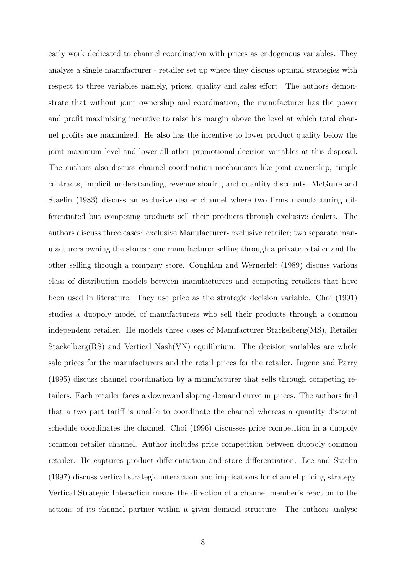early work dedicated to channel coordination with prices as endogenous variables. They analyse a single manufacturer - retailer set up where they discuss optimal strategies with respect to three variables namely, prices, quality and sales effort. The authors demonstrate that without joint ownership and coordination, the manufacturer has the power and profit maximizing incentive to raise his margin above the level at which total channel profits are maximized. He also has the incentive to lower product quality below the joint maximum level and lower all other promotional decision variables at this disposal. The authors also discuss channel coordination mechanisms like joint ownership, simple contracts, implicit understanding, revenue sharing and quantity discounts. McGuire and Staelin (1983) discuss an exclusive dealer channel where two firms manufacturing differentiated but competing products sell their products through exclusive dealers. The authors discuss three cases: exclusive Manufacturer- exclusive retailer; two separate manufacturers owning the stores ; one manufacturer selling through a private retailer and the other selling through a company store. Coughlan and Wernerfelt (1989) discuss various class of distribution models between manufacturers and competing retailers that have been used in literature. They use price as the strategic decision variable. Choi (1991) studies a duopoly model of manufacturers who sell their products through a common independent retailer. He models three cases of Manufacturer Stackelberg(MS), Retailer Stackelberg $(RS)$  and Vertical Nash $(VN)$  equilibrium. The decision variables are whole sale prices for the manufacturers and the retail prices for the retailer. Ingene and Parry (1995) discuss channel coordination by a manufacturer that sells through competing retailers. Each retailer faces a downward sloping demand curve in prices. The authors find that a two part tariff is unable to coordinate the channel whereas a quantity discount schedule coordinates the channel. Choi (1996) discusses price competition in a duopoly common retailer channel. Author includes price competition between duopoly common retailer. He captures product differentiation and store differentiation. Lee and Staelin (1997) discuss vertical strategic interaction and implications for channel pricing strategy. Vertical Strategic Interaction means the direction of a channel member's reaction to the actions of its channel partner within a given demand structure. The authors analyse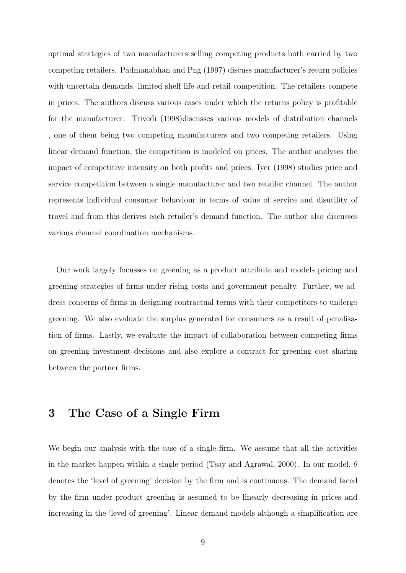optimal strategies of two manufacturers selling competing products both carried by two competing retailers. Padmanabhan and Png (1997) discuss manufacturer's return policies with uncertain demands, limited shelf life and retail competition. The retailers compete in prices. The authors discuss various cases under which the returns policy is profitable for the manufacturer. Trivedi (1998)discusses various models of distribution channels , one of them being two competing manufacturers and two competing retailers. Using linear demand function, the competition is modeled on prices. The author analyses the impact of competitive intensity on both profits and prices. Iyer (1998) studies price and service competition between a single manufacturer and two retailer channel. The author represents individual consumer behaviour in terms of value of service and disutility of travel and from this derives each retailer's demand function. The author also discusses various channel coordination mechanisms.

Our work largely focusses on greening as a product attribute and models pricing and greening strategies of firms under rising costs and government penalty. Further, we address concerns of firms in designing contractual terms with their competitors to undergo greening. We also evaluate the surplus generated for consumers as a result of penalisation of firms. Lastly, we evaluate the impact of collaboration between competing firms on greening investment decisions and also explore a contract for greening cost sharing between the partner firms.

## 3 The Case of a Single Firm

We begin our analysis with the case of a single firm. We assume that all the activities in the market happen within a single period (Tsay and Agrawal, 2000). In our model,  $\theta$ denotes the 'level of greening' decision by the firm and is continuous. The demand faced by the firm under product greening is assumed to be linearly decreasing in prices and increasing in the 'level of greening'. Linear demand models although a simplification are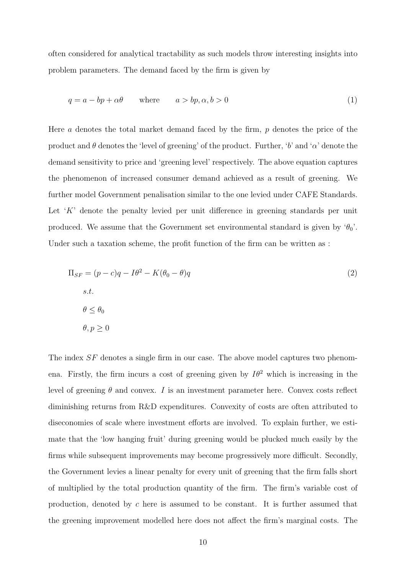often considered for analytical tractability as such models throw interesting insights into problem parameters. The demand faced by the firm is given by

$$
q = a - bp + \alpha \theta \qquad \text{where} \qquad a > bp, \alpha, b > 0 \tag{1}
$$

Here  $a$  denotes the total market demand faced by the firm,  $p$  denotes the price of the product and  $\theta$  denotes the 'level of greening' of the product. Further, 'b' and ' $\alpha$ ' denote the demand sensitivity to price and 'greening level' respectively. The above equation captures the phenomenon of increased consumer demand achieved as a result of greening. We further model Government penalisation similar to the one levied under CAFE Standards. Let  $K'$  denote the penalty levied per unit difference in greening standards per unit produced. We assume that the Government set environmental standard is given by  $\theta_0$ . Under such a taxation scheme, the profit function of the firm can be written as :

$$
\Pi_{SF} = (p - c)q - I\theta^2 - K(\theta_0 - \theta)q
$$
  
s.t.  

$$
\theta \le \theta_0
$$
  

$$
\theta, p \ge 0
$$
 (2)

The index SF denotes a single firm in our case. The above model captures two phenomena. Firstly, the firm incurs a cost of greening given by  $I\theta^2$  which is increasing in the level of greening  $\theta$  and convex. I is an investment parameter here. Convex costs reflect diminishing returns from R&D expenditures. Convexity of costs are often attributed to diseconomies of scale where investment efforts are involved. To explain further, we estimate that the 'low hanging fruit' during greening would be plucked much easily by the firms while subsequent improvements may become progressively more difficult. Secondly, the Government levies a linear penalty for every unit of greening that the firm falls short of multiplied by the total production quantity of the firm. The firm's variable cost of production, denoted by c here is assumed to be constant. It is further assumed that the greening improvement modelled here does not affect the firm's marginal costs. The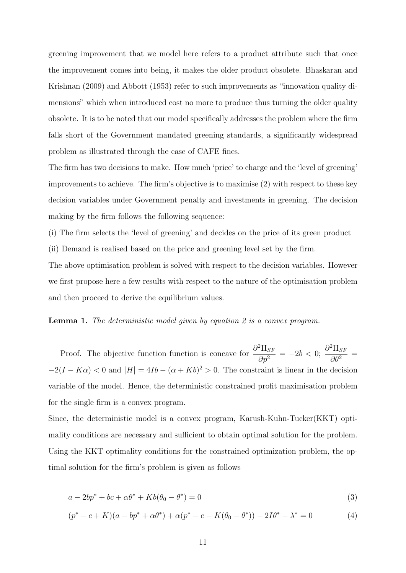greening improvement that we model here refers to a product attribute such that once the improvement comes into being, it makes the older product obsolete. Bhaskaran and Krishnan (2009) and Abbott (1953) refer to such improvements as "innovation quality dimensions" which when introduced cost no more to produce thus turning the older quality obsolete. It is to be noted that our model specifically addresses the problem where the firm falls short of the Government mandated greening standards, a significantly widespread problem as illustrated through the case of CAFE fines.

The firm has two decisions to make. How much 'price' to charge and the 'level of greening' improvements to achieve. The firm's objective is to maximise (2) with respect to these key decision variables under Government penalty and investments in greening. The decision making by the firm follows the following sequence:

(i) The firm selects the 'level of greening' and decides on the price of its green product (ii) Demand is realised based on the price and greening level set by the firm.

The above optimisation problem is solved with respect to the decision variables. However we first propose here a few results with respect to the nature of the optimisation problem and then proceed to derive the equilibrium values.

#### **Lemma 1.** The deterministic model given by equation 2 is a convex program.

Proof. The objective function function is concave for  $\frac{\partial^2 \Pi_{SF}}{\partial x^2}$  $\partial p^2$  $=-2b < 0; \frac{\partial^2 \Pi_{SF}}{\partial \Omega^2}$  $\frac{\partial^2 f}{\partial \theta^2} =$  $-2(I - K\alpha) < 0$  and  $|H| = 4Ib - (\alpha + Kb)^2 > 0$ . The constraint is linear in the decision variable of the model. Hence, the deterministic constrained profit maximisation problem for the single firm is a convex program.

Since, the deterministic model is a convex program, Karush-Kuhn-Tucker(KKT) optimality conditions are necessary and sufficient to obtain optimal solution for the problem. Using the KKT optimality conditions for the constrained optimization problem, the optimal solution for the firm's problem is given as follows

$$
a - 2bp^* + bc + \alpha\theta^* + Kb(\theta_0 - \theta^*) = 0
$$
\n<sup>(3)</sup>

$$
(p^* - c + K)(a - bp^* + \alpha\theta^*) + \alpha(p^* - c - K(\theta_0 - \theta^*)) - 2I\theta^* - \lambda^* = 0
$$
\n(4)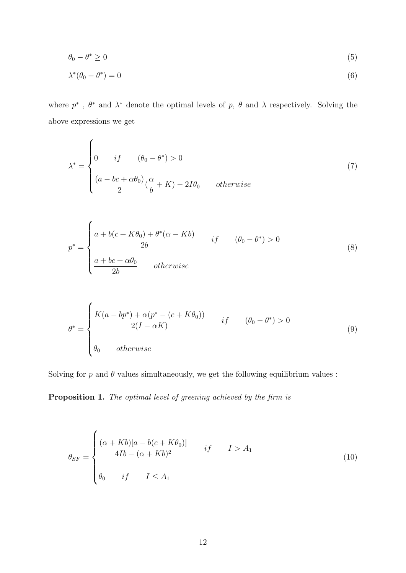$$
\theta_0 - \theta^* \ge 0 \tag{5}
$$

$$
\lambda^*(\theta_0 - \theta^*) = 0 \tag{6}
$$

where  $p^*$ ,  $\theta^*$  and  $\lambda^*$  denote the optimal levels of p,  $\theta$  and  $\lambda$  respectively. Solving the above expressions we get

$$
\lambda^* = \begin{cases}\n0 & if \quad (\theta_0 - \theta^*) > 0 \\
\frac{(a - bc + \alpha\theta_0)}{2}(\frac{\alpha}{b} + K) - 2I\theta_0 & otherwise\n\end{cases}
$$
\n(7)

$$
p^* = \begin{cases} \frac{a + b(c + K\theta_0) + \theta^*(\alpha - Kb)}{2b} & \text{if } (\theta_0 - \theta^*) > 0\\ \frac{a + bc + \alpha\theta_0}{2b} & \text{otherwise} \end{cases} \tag{8}
$$

$$
\theta^* = \begin{cases} \frac{K(a - bp^*) + \alpha(p^* - (c + K\theta_0))}{2(I - \alpha K)} & \text{if} \quad (\theta_0 - \theta^*) > 0\\ \theta_0 & \text{otherwise} \end{cases} \tag{9}
$$

Solving for  $p$  and  $\theta$  values simultaneously, we get the following equilibrium values :

Proposition 1. The optimal level of greening achieved by the firm is

$$
\theta_{SF} = \begin{cases}\n\frac{(\alpha + Kb)[a - b(c + K\theta_0)]}{4Ib - (\alpha + Kb)^2} & \text{if} \qquad I > A_1 \\
\theta_0 & \text{if} \qquad I \le A_1\n\end{cases} \tag{10}
$$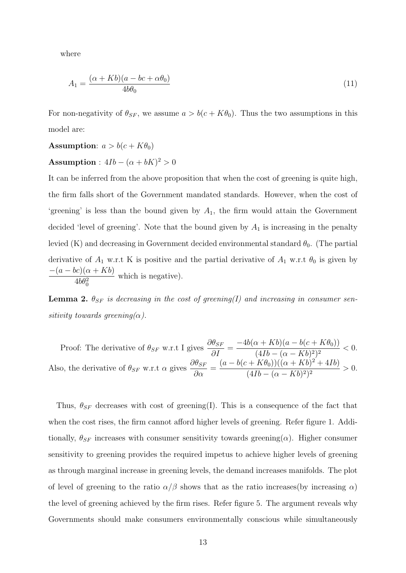where

$$
A_1 = \frac{(\alpha + Kb)(a - bc + \alpha \theta_0)}{4b\theta_0} \tag{11}
$$

For non-negativity of  $\theta_{SF}$ , we assume  $a > b(c + K\theta_0)$ . Thus the two assumptions in this model are:

### Assumption:  $a > b(c + K\theta_0)$

### Assumption :  $4Ib - (\alpha + bK)^2 > 0$

It can be inferred from the above proposition that when the cost of greening is quite high, the firm falls short of the Government mandated standards. However, when the cost of 'greening' is less than the bound given by  $A_1$ , the firm would attain the Government decided 'level of greening'. Note that the bound given by  $A_1$  is increasing in the penalty levied (K) and decreasing in Government decided environmental standard  $\theta_0$ . (The partial derivative of  $A_1$  w.r.t K is positive and the partial derivative of  $A_1$  w.r.t  $\theta_0$  is given by  $-(a - bc)(\alpha + Kb)$  $4b\theta_0^2$ which is negative).

**Lemma 2.**  $\theta_{SF}$  is decreasing in the cost of greening(I) and increasing in consumer sensitivity towards greening $(\alpha)$ .

Proof: The derivative of  $\theta_{SF}$  w.r.t I gives  $\frac{\partial \theta_{SF}}{\partial I}$  =  $-4b(\alpha + Kb)(a - b(c + K\theta_0))$  $\frac{(4Ib - (\alpha - Kb)^2)^2}{(4Ib - (\alpha - Kb)^2)^2} < 0.$ Also, the derivative of  $\theta_{SF}$  w.r.t  $\alpha$  gives  $\partial \theta_{SF}$  $\frac{\partial s}{\partial \alpha} =$  $(a - b(c + K\theta_0))((\alpha + Kb)^2 + 4Ib)$  $\frac{(4Ib - (\alpha - Kb)^2)^2}{(4Ib - (\alpha - Kb)^2)^2} > 0.$ 

Thus,  $\theta_{SF}$  decreases with cost of greening(I). This is a consequence of the fact that when the cost rises, the firm cannot afford higher levels of greening. Refer figure 1. Additionally,  $\theta_{SF}$  increases with consumer sensitivity towards greening( $\alpha$ ). Higher consumer sensitivity to greening provides the required impetus to achieve higher levels of greening as through marginal increase in greening levels, the demand increases manifolds. The plot of level of greening to the ratio  $\alpha/\beta$  shows that as the ratio increases(by increasing  $\alpha$ ) the level of greening achieved by the firm rises. Refer figure 5. The argument reveals why Governments should make consumers environmentally conscious while simultaneously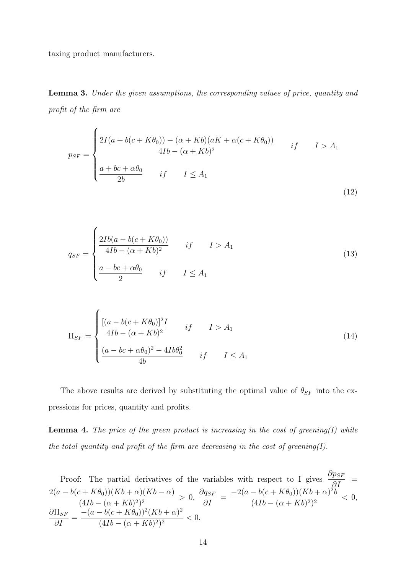taxing product manufacturers.

Lemma 3. Under the given assumptions, the corresponding values of price, quantity and profit of the firm are

$$
p_{SF} = \begin{cases} \frac{2I(a+b(c+K\theta_0)) - (\alpha+Kb)(aK+\alpha(c+K\theta_0))}{4Ib - (\alpha+Kb)^2} & \text{if} \qquad I > A_1\\ \frac{a+bc+\alpha\theta_0}{2b} & \text{if} \qquad I \le A_1 \end{cases} \tag{12}
$$

$$
q_{SF} = \begin{cases} \frac{2Ib(a - b(c + K\theta_0))}{4Ib - (\alpha + Kb)^2} & \text{if} \quad I > A_1\\ \frac{a - bc + \alpha\theta_0}{2} & \text{if} \quad I \le A_1 \end{cases} \tag{13}
$$

$$
\Pi_{SF} = \begin{cases}\n\frac{[(a - b(c + K\theta_0)]^2 I}{4Ib - (\alpha + Kb)^2} & if & I > A_1 \\
\frac{(a - bc + \alpha\theta_0)^2 - 4Ib\theta_0^2}{4b} & if & I \le A_1\n\end{cases}
$$
\n(14)

The above results are derived by substituting the optimal value of  $\theta_{SF}$  into the expressions for prices, quantity and profits.

**Lemma 4.** The price of the green product is increasing in the cost of greening(I) while the total quantity and profit of the firm are decreasing in the cost of greening $(I)$ .

Proof: The partial derivatives of the variables with respect to I gives 
$$
\frac{\partial p_{SF}}{\partial I} = \frac{2(a - b(c + K\theta_0))(Kb + \alpha)(Kb - \alpha)}{(4Ib - (\alpha + Kb)^2)^2} > 0, \quad \frac{\partial q_{SF}}{\partial I} = \frac{-2(a - b(c + K\theta_0))(Kb + \alpha)^2b}{(4Ib - (\alpha + Kb)^2)^2} < 0,
$$

$$
\frac{\partial \Pi_{SF}}{\partial I} = \frac{-(a - b(c + K\theta_0))^2(Kb + \alpha)^2}{(4Ib - (\alpha + Kb)^2)^2} < 0.
$$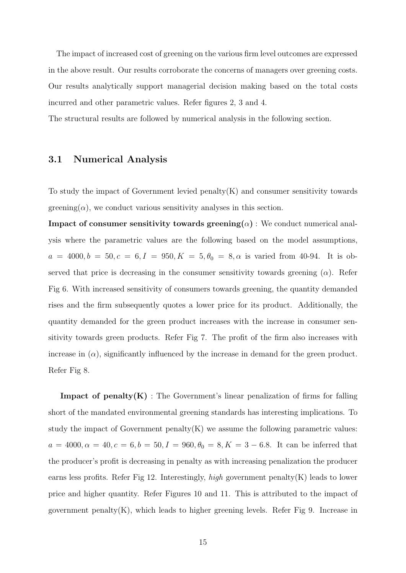The impact of increased cost of greening on the various firm level outcomes are expressed in the above result. Our results corroborate the concerns of managers over greening costs. Our results analytically support managerial decision making based on the total costs incurred and other parametric values. Refer figures 2, 3 and 4.

The structural results are followed by numerical analysis in the following section.

### 3.1 Numerical Analysis

To study the impact of Government levied penalty $(K)$  and consumer sensitivity towards greening( $\alpha$ ), we conduct various sensitivity analyses in this section.

**Impact of consumer sensitivity towards greening** $(\alpha)$ : We conduct numerical analysis where the parametric values are the following based on the model assumptions,  $a = 4000, b = 50, c = 6, I = 950, K = 5, \theta_0 = 8, \alpha$  is varied from 40-94. It is observed that price is decreasing in the consumer sensitivity towards greening  $(\alpha)$ . Refer Fig 6. With increased sensitivity of consumers towards greening, the quantity demanded rises and the firm subsequently quotes a lower price for its product. Additionally, the quantity demanded for the green product increases with the increase in consumer sensitivity towards green products. Refer Fig 7. The profit of the firm also increases with increase in  $(\alpha)$ , significantly influenced by the increase in demand for the green product. Refer Fig 8.

**Impact of penalty(K)**: The Government's linear penalization of firms for falling short of the mandated environmental greening standards has interesting implications. To study the impact of Government penalty $(K)$  we assume the following parametric values:  $a = 4000, \alpha = 40, c = 6, b = 50, I = 960, \theta_0 = 8, K = 3 - 6.8$ . It can be inferred that the producer's profit is decreasing in penalty as with increasing penalization the producer earns less profits. Refer Fig 12. Interestingly, high government penalty $(K)$  leads to lower price and higher quantity. Refer Figures 10 and 11. This is attributed to the impact of government penalty $(K)$ , which leads to higher greening levels. Refer Fig 9. Increase in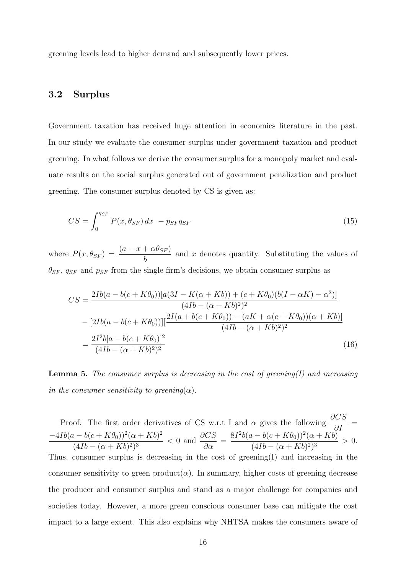greening levels lead to higher demand and subsequently lower prices.

### 3.2 Surplus

Government taxation has received huge attention in economics literature in the past. In our study we evaluate the consumer surplus under government taxation and product greening. In what follows we derive the consumer surplus for a monopoly market and evaluate results on the social surplus generated out of government penalization and product greening. The consumer surplus denoted by CS is given as:

$$
CS = \int_0^{q_{SF}} P(x, \theta_{SF}) dx - p_{SF}q_{SF}
$$
\n(15)

where  $P(x, \theta_{SF}) = \frac{(a - x + \alpha \theta_{SF})}{b}$ and  $x$  denotes quantity. Substituting the values of  $\theta_{SF}$ ,  $q_{SF}$  and  $p_{SF}$  from the single firm's decisions, we obtain consumer surplus as

$$
CS = \frac{2Ib(a - b(c + K\theta_0))[a(3I - K(\alpha + Kb)) + (c + K\theta_0)(b(I - \alpha K) - \alpha^2)]}{(4Ib - (\alpha + Kb)^2)^2}
$$
  

$$
- [2Ib(a - b(c + K\theta_0))][\frac{2I(a + b(c + K\theta_0)) - (aK + \alpha(c + K\theta_0))(\alpha + Kb)]}{(4Ib - (\alpha + Kb)^2)^2}
$$
  

$$
= \frac{2I^2b[a - b(c + K\theta_0)]^2}{(4Ib - (\alpha + Kb)^2)^2}
$$
(16)

**Lemma 5.** The consumer surplus is decreasing in the cost of greening(I) and increasing in the consumer sensitivity to greening( $\alpha$ ).

Proof. The first order derivatives of CS w.r.t I and 
$$
\alpha
$$
 gives the following  $\frac{\partial CS}{\partial I} = -4Ib(a-b(c+K\theta_0))^2(\alpha+Kb)^2$   
 $\frac{-4Ib(a-b(c+K\theta_0))^2(\alpha+Kb)^2}{(4Ib-(\alpha+Kb)^2)^3} < 0$  and  $\frac{\partial CS}{\partial \alpha} = \frac{8I^2b(a-b(c+K\theta_0))^2(\alpha+Kb)}{(4Ib-(\alpha+Kb)^2)^3} > 0$ .

Thus, consumer surplus is decreasing in the cost of greening(I) and increasing in the consumer sensitivity to green  $product(\alpha)$ . In summary, higher costs of greening decrease the producer and consumer surplus and stand as a major challenge for companies and societies today. However, a more green conscious consumer base can mitigate the cost impact to a large extent. This also explains why NHTSA makes the consumers aware of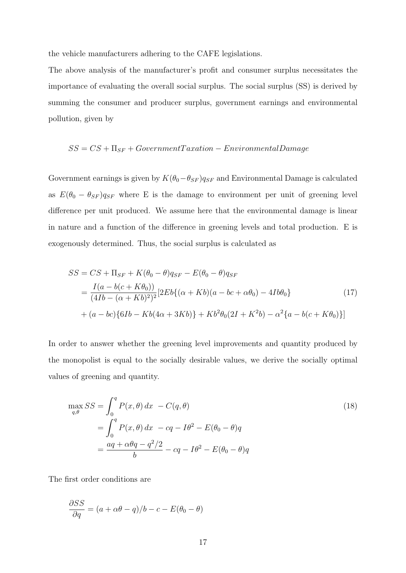the vehicle manufacturers adhering to the CAFE legislations.

The above analysis of the manufacturer's profit and consumer surplus necessitates the importance of evaluating the overall social surplus. The social surplus (SS) is derived by summing the consumer and producer surplus, government earnings and environmental pollution, given by

## $SS = CS + \Pi_{SF} + Government Taxation - Environmental Damage$

Government earnings is given by  $K(\theta_0-\theta_{SF})q_{SF}$  and Environmental Damage is calculated as  $E(\theta_0 - \theta_{SF})q_{SF}$  where E is the damage to environment per unit of greening level difference per unit produced. We assume here that the environmental damage is linear in nature and a function of the difference in greening levels and total production. E is exogenously determined. Thus, the social surplus is calculated as

$$
SS = CS + \Pi_{SF} + K(\theta_0 - \theta)q_{SF} - E(\theta_0 - \theta)q_{SF}
$$
  
= 
$$
\frac{I(a - b(c + K\theta_0))}{(4Ib - (\alpha + Kb)^2)^2} [2Eb\{(\alpha + Kb)(a - bc + \alpha\theta_0) - 4Ib\theta_0\}
$$
(17)  
+ 
$$
(a - bc)\{6Ib - Kb(4\alpha + 3Kb)\} + Kb^2\theta_0(2I + K^2b) - \alpha^2\{a - b(c + K\theta_0)\}]
$$

In order to answer whether the greening level improvements and quantity produced by the monopolist is equal to the socially desirable values, we derive the socially optimal values of greening and quantity.

$$
\max_{q,\theta} SS = \int_0^q P(x,\theta) dx - C(q,\theta)
$$
  
= 
$$
\int_0^q P(x,\theta) dx - cq - I\theta^2 - E(\theta_0 - \theta)q
$$
  
= 
$$
\frac{aq + \alpha\theta q - q^2/2}{b} - cq - I\theta^2 - E(\theta_0 - \theta)q
$$
 (18)

The first order conditions are

$$
\frac{\partial SS}{\partial q} = (a + \alpha \theta - q)/b - c - E(\theta_0 - \theta)
$$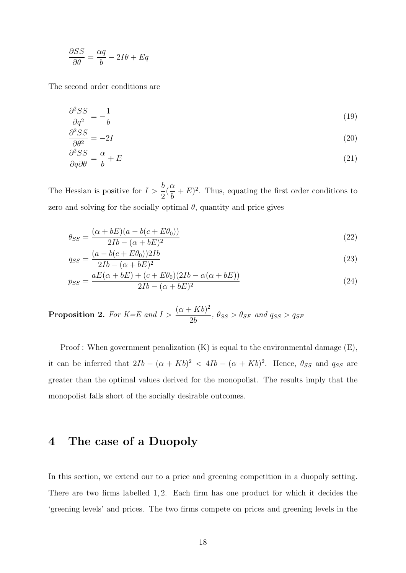$$
\frac{\partial SS}{\partial \theta} = \frac{\alpha q}{b} - 2I\theta + Eq
$$

The second order conditions are

$$
\frac{\partial^2 SS}{\partial q^2} = -\frac{1}{b} \tag{19}
$$

$$
\frac{\partial^2 SS}{\partial \theta^2} = -2I \tag{20}
$$

$$
\frac{\partial^2 SS}{\partial q \partial \theta} = \frac{\alpha}{b} + E \tag{21}
$$

The Hessian is positive for  $I > \frac{b}{2}$ 2 (  $\alpha$ b  $(E)^2$ . Thus, equating the first order conditions to zero and solving for the socially optimal  $\theta$ , quantity and price gives

$$
\theta_{SS} = \frac{(\alpha + bE)(a - b(c + E\theta_0))}{2Ib - (\alpha + bE)^2} \tag{22}
$$

$$
q_{SS} = \frac{(a - b(c + E\theta_0))2Ib}{2Ib - (\alpha + bE)^2}
$$
\n(23)

$$
p_{SS} = \frac{aE(\alpha + bE) + (c + E\theta_0)(2Ib - \alpha(\alpha + bE))}{2Ib - (\alpha + bE)^2}
$$
\n(24)

**Proposition 2.** For K=E and  $I > \frac{(\alpha + Kb)^2}{\alpha!}$  $\frac{116}{2b}$ ,  $\theta_{SS} > \theta_{SF}$  and  $q_{SS} > q_{SF}$ 

Proof : When government penalization  $(K)$  is equal to the environmental damage  $(E)$ , it can be inferred that  $2Ib - (\alpha + Kb)^2 < 4Ib - (\alpha + Kb)^2$ . Hence,  $\theta_{SS}$  and  $q_{SS}$  are greater than the optimal values derived for the monopolist. The results imply that the monopolist falls short of the socially desirable outcomes.

# 4 The case of a Duopoly

In this section, we extend our to a price and greening competition in a duopoly setting. There are two firms labelled 1, 2. Each firm has one product for which it decides the 'greening levels' and prices. The two firms compete on prices and greening levels in the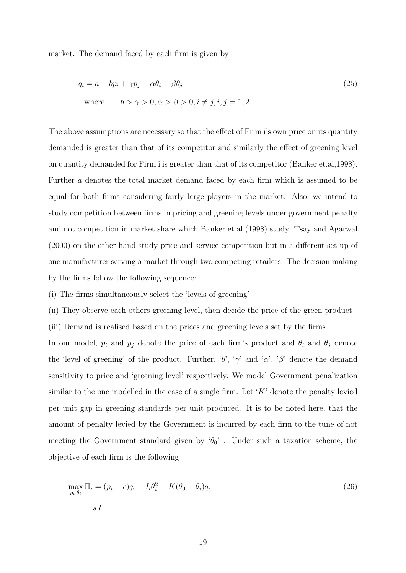market. The demand faced by each firm is given by

$$
q_i = a - bp_i + \gamma p_j + \alpha \theta_i - \beta \theta_j
$$
  
where  $b > \gamma > 0, \alpha > \beta > 0, i \neq j, i, j = 1, 2$  (25)

The above assumptions are necessary so that the effect of Firm i's own price on its quantity demanded is greater than that of its competitor and similarly the effect of greening level on quantity demanded for Firm i is greater than that of its competitor (Banker et.al,1998). Further a denotes the total market demand faced by each firm which is assumed to be equal for both firms considering fairly large players in the market. Also, we intend to study competition between firms in pricing and greening levels under government penalty and not competition in market share which Banker et.al (1998) study. Tsay and Agarwal (2000) on the other hand study price and service competition but in a different set up of one manufacturer serving a market through two competing retailers. The decision making by the firms follow the following sequence:

(i) The firms simultaneously select the 'levels of greening'

(ii) They observe each others greening level, then decide the price of the green product

(iii) Demand is realised based on the prices and greening levels set by the firms.

In our model,  $p_i$  and  $p_j$  denote the price of each firm's product and  $\theta_i$  and  $\theta_j$  denote the 'level of greening' of the product. Further, 'b', ' $\gamma$ ' and ' $\alpha$ ', ' $\beta$ ' denote the demand sensitivity to price and 'greening level' respectively. We model Government penalization similar to the one modelled in the case of a single firm. Let 'K' denote the penalty levied per unit gap in greening standards per unit produced. It is to be noted here, that the amount of penalty levied by the Government is incurred by each firm to the tune of not meeting the Government standard given by  $\theta_0$ '. Under such a taxation scheme, the objective of each firm is the following

$$
\max_{p_i, \theta_i} \Pi_i = (p_i - c)q_i - I_i \theta_i^2 - K(\theta_0 - \theta_i)q_i
$$
\n
$$
s.t. \tag{26}
$$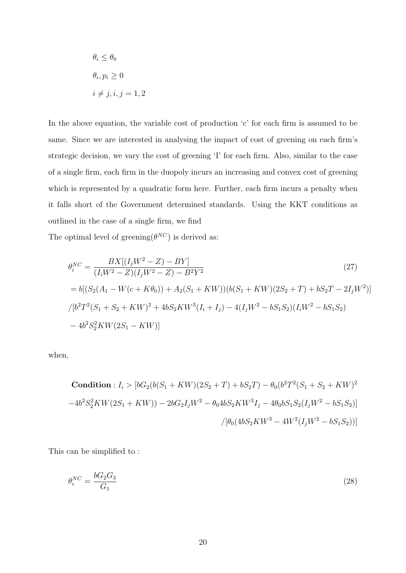$$
\theta_i \le \theta_0
$$
  

$$
\theta_i, p_i \ge 0
$$
  

$$
i \neq j, i, j = 1, 2
$$

In the above equation, the variable cost of production 'c' for each firm is assumed to be same. Since we are interested in analysing the impact of cost of greening on each firm's strategic decision, we vary the cost of greening 'I' for each firm. Also, similar to the case of a single firm, each firm in the duopoly incurs an increasing and convex cost of greening which is represented by a quadratic form here. Further, each firm incurs a penalty when it falls short of the Government determined standards. Using the KKT conditions as outlined in the case of a single firm, we find

The optimal level of greening  $(\theta^{NC})$  is derived as:

$$
\theta_i^{NC} = \frac{BX[(I_jW^2 - Z) - BY]}{(I_iW^2 - Z)(I_jW^2 - Z) - B^2Y^2}
$$
\n
$$
= b[(S_2(A_1 - W(c + K\theta_0)) + A_2(S_1 + KW))(b(S_1 + KW)(2S_2 + T) + bS_2T - 2I_jW^2)]
$$
\n
$$
/[b^2T^2(S_1 + S_2 + KW)^2 + 4bS_2KW^3(I_i + I_j) - 4(I_jW^2 - bS_1S_2)(I_iW^2 - bS_1S_2)
$$
\n
$$
- 4b^2S_2^2KW(2S_1 - KW)]
$$
\n(27)

when,

Condition: 
$$
I_i > [bG_2(b(S_1 + KW)(2S_2 + T) + bS_2T) - \theta_0(b^2T^2(S_1 + S_2 + KW)^2
$$
  
\n $-4b^2S_2^KW(2S_1 + KW)) - 2bG_2I_jW^2 - \theta_04bS_2KW^3I_j - 4\theta_0bS_1S_2(I_jW^2 - bS_1S_2)]$   
\n $[(\theta_0(4bS_2KW^3 - 4W^2(I_jW^2 - bS_1S_2))]$ 

This can be simplified to :

$$
\theta_i^{NC} = \frac{bG_2G_3}{G_1} \tag{28}
$$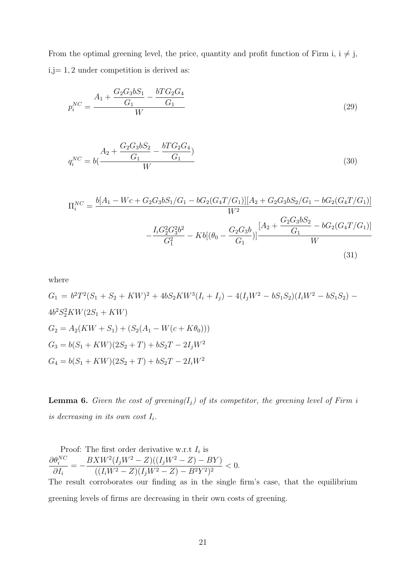From the optimal greening level, the price, quantity and profit function of Firm i,  $i \neq j$ ,  $\mathrm{i,j} {= 1,2}$  under competition is derived as:

$$
p_i^{NC} = \frac{A_1 + \frac{G_2 G_3 b S_1}{G_1} - \frac{b T G_2 G_4}{G_1}}{W}
$$
\n(29)

$$
q_i^{NC} = b\left(\frac{A_2 + \frac{G_2 G_3 b S_2}{G_1} - \frac{b T G_2 G_4}{G_1}}{W}\right) \tag{30}
$$

$$
\Pi_{i}^{NC} = \frac{b[A_1 - Wc + G_2G_3bS_1/G_1 - bG_2(G_4T/G_1)][A_2 + G_2G_3bS_2/G_1 - bG_2(G_4T/G_1)]}{W^2}
$$

$$
-\frac{I_iG_2^2G_3^2b^2}{G_1^2} - Kb[(\theta_0 - \frac{G_2G_3b}{G_1})] \frac{[A_2 + \frac{G_2G_3bS_2}{G_1} - bG_2(G_4T/G_1)]}{W}
$$
(31)

where

$$
G_1 = b^2 T^2 (S_1 + S_2 + KW)^2 + 4bS_2 KW^3 (I_i + I_j) - 4(I_j W^2 - bS_1 S_2)(I_i W^2 - bS_1 S_2) - 4b^2 S_2^2 KW(2S_1 + KW)
$$
  
\n
$$
G_2 = A_2 (KW + S_1) + (S_2 (A_1 - W(c + K\theta_0)))
$$
  
\n
$$
G_3 = b(S_1 + KW)(2S_2 + T) + bS_2 T - 2I_j W^2
$$
  
\n
$$
G_4 = b(S_1 + KW)(2S_2 + T) + bS_2 T - 2I_i W^2
$$

**Lemma 6.** Given the cost of greening( $I_j$ ) of its competitor, the greening level of Firm i is decreasing in its own cost  $I_i$ .

Proof: The first order derivative w.r.t 
$$
I_i
$$
 is\n
$$
\frac{\partial \theta_i^{NC}}{\partial I_i} = -\frac{BXW^2(I_jW^2 - Z)((I_jW^2 - Z) - BY)}{((I_iW^2 - Z)(I_jW^2 - Z) - B^2Y^2)^2} < 0.
$$

The result corroborates our finding as in the single firm's case, that the equilibrium greening levels of firms are decreasing in their own costs of greening.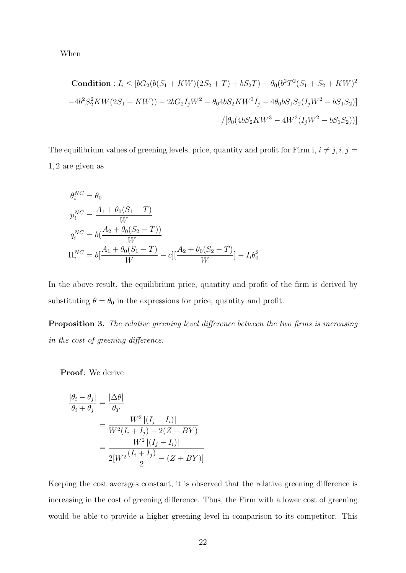When

Condition: 
$$
I_i \leq [bG_2(b(S_1 + KW)(2S_2 + T) + bS_2T) - \theta_0(b^2T^2(S_1 + S_2 + KW)^2 - 4b^2S_2^KW(2S_1 + KW)) - 2bG_2I_jW^2 - \theta_04bS_2KW^3I_j - 4\theta_0bS_1S_2(I_jW^2 - bS_1S_2)]
$$

\n
$$
/[\theta_0(4bS_2KW^3 - 4W^2(I_jW^2 - bS_1S_2))]
$$

The equilibrium values of greening levels, price, quantity and profit for Firm i,  $i \neq j, i, j =$ 1, 2 are given as

$$
\theta_i^{NC} = \theta_0
$$
  
\n
$$
p_i^{NC} = \frac{A_1 + \theta_0(S_1 - T)}{W}
$$
  
\n
$$
q_i^{NC} = b(\frac{A_2 + \theta_0(S_2 - T)}{W})
$$
  
\n
$$
\Pi_i^{NC} = b[\frac{A_1 + \theta_0(S_1 - T)}{W} - c][\frac{A_2 + \theta_0(S_2 - T)}{W}] - I_i\theta_0^2
$$

In the above result, the equilibrium price, quantity and profit of the firm is derived by substituting  $\theta = \theta_0$  in the expressions for price, quantity and profit.

Proposition 3. The relative greening level difference between the two firms is increasing in the cost of greening difference.

Proof: We derive

$$
\frac{|\theta_i - \theta_j|}{\theta_i + \theta_j} = \frac{|\Delta \theta|}{\theta_T}
$$
  
= 
$$
\frac{W^2 |(I_j - I_i)|}{W^2 (I_i + I_j) - 2(Z + BY)}
$$
  
= 
$$
\frac{W^2 |(I_j - I_i)|}{2[W^2 \frac{(I_i + I_j)}{2} - (Z + BY)]}
$$

Keeping the cost averages constant, it is observed that the relative greening difference is increasing in the cost of greening difference. Thus, the Firm with a lower cost of greening would be able to provide a higher greening level in comparison to its competitor. This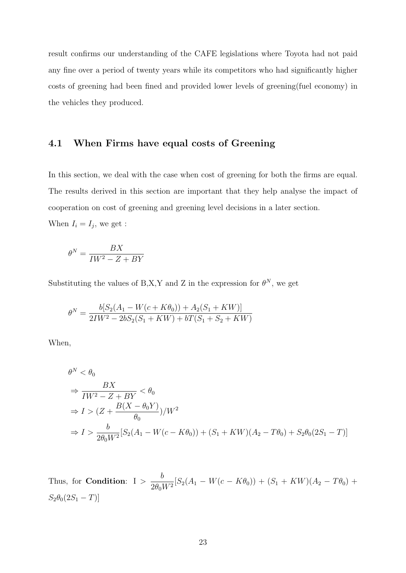result confirms our understanding of the CAFE legislations where Toyota had not paid any fine over a period of twenty years while its competitors who had significantly higher costs of greening had been fined and provided lower levels of greening(fuel economy) in the vehicles they produced.

### 4.1 When Firms have equal costs of Greening

In this section, we deal with the case when cost of greening for both the firms are equal. The results derived in this section are important that they help analyse the impact of cooperation on cost of greening and greening level decisions in a later section.

$$
f_{\rm{max}}
$$

When  $I_i = I_j$ , we get :

$$
\theta^N = \frac{BX}{IW^2 - Z + BY}
$$

Substituting the values of B,X,Y and Z in the expression for  $\theta^N$ , we get

$$
\theta^N = \frac{b[S_2(A_1 - W(c + K\theta_0)) + A_2(S_1 + KW)]}{2IW^2 - 2bS_2(S_1 + KW) + bT(S_1 + S_2 + KW)}
$$

When,

$$
\theta^N < \theta_0
$$
\n
$$
\Rightarrow \frac{BX}{IW^2 - Z + BY} < \theta_0
$$
\n
$$
\Rightarrow I > (Z + \frac{B(X - \theta_0 Y)}{\theta_0}) / W^2
$$
\n
$$
\Rightarrow I > \frac{b}{2\theta_0 W^2} [S_2(A_1 - W(c - K\theta_0)) + (S_1 + KW)(A_2 - T\theta_0) + S_2\theta_0 (2S_1 - T)]
$$

Thus, for **Condition**:  $I >$ b  $2\theta_0 W^2$  $[S_2(A_1 - W(c - K\theta_0)) + (S_1 + KW)(A_2 - T\theta_0) +$  $S_2\theta_0(2S_1-T)$ ]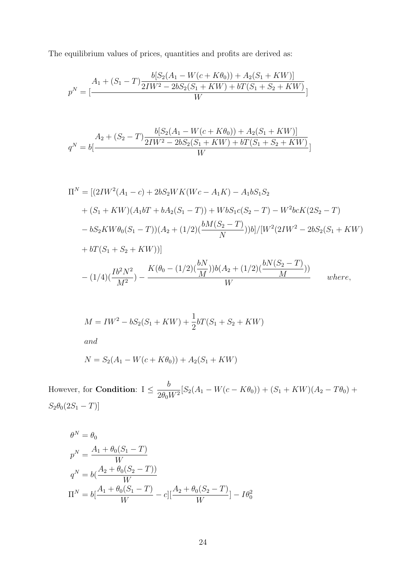The equilibrium values of prices, quantities and profits are derived as:

$$
p^{N} = \left[\frac{A_{1} + (S_{1} - T) \frac{b[S_{2}(A_{1} - W(c + K\theta_{0})) + A_{2}(S_{1} + KW)]}{2IW^{2} - 2bS_{2}(S_{1} + KW) + bT(S_{1} + S_{2} + KW)}\right]
$$

$$
q^{N} = b \left[ \frac{A_{2} + (S_{2} - T) \frac{b[S_{2}(A_{1} - W(c + K\theta_{0})) + A_{2}(S_{1} + KW)]}{2IW^{2} - 2bS_{2}(S_{1} + KW) + bT(S_{1} + S_{2} + KW)} \right]
$$

$$
\Pi^{N} = [(2IW^{2}(A_{1}-c) + 2bS_{2}WK(Wc - A_{1}K) - A_{1}bS_{1}S_{2} + (S_{1} + KW)(A_{1}bT + bA_{2}(S_{1}-T)) + WbS_{1}c(S_{2}-T) - W^{2}bcK(2S_{2}-T)- bS_{2}KW\theta_{0}(S_{1}-T))(A_{2} + (1/2)(\frac{bM(S_{2}-T)}{N}))b]/[W^{2}(2IW^{2} - 2bS_{2}(S_{1} + KW)+ bT(S_{1} + S_{2} + KW))]- (1/4)(\frac{Ib^{2}N^{2}}{M^{2}}) - \frac{K(\theta_{0} - (1/2)(\frac{bN}{M}))b(A_{2} + (1/2)(\frac{bN(S_{2}-T)}{M}))}{W} where,
$$

$$
M = IW^2 - bS_2(S_1 + KW) + \frac{1}{2}bT(S_1 + S_2 + KW)
$$
  
and  

$$
N = S_2(A_1 - W(c + K\theta_0)) + A_2(S_1 + KW)
$$

However, for **Condition**:  $I \leq \frac{b}{20}$  $2\theta_0 W^2$  $[S_2(A_1 - W(c - K\theta_0)) + (S_1 + KW)(A_2 - T\theta_0) +$  $S_2\theta_0(2S_1-T)$ ]

$$
\theta^N = \theta_0
$$
  
\n
$$
p^N = \frac{A_1 + \theta_0 (S_1 - T)}{W}
$$
  
\n
$$
q^N = b(\frac{A_2 + \theta_0 (S_2 - T)}{W})
$$
  
\n
$$
\Pi^N = b[\frac{A_1 + \theta_0 (S_1 - T)}{W} - c][\frac{A_2 + \theta_0 (S_2 - T)}{W}] - I\theta_0^2
$$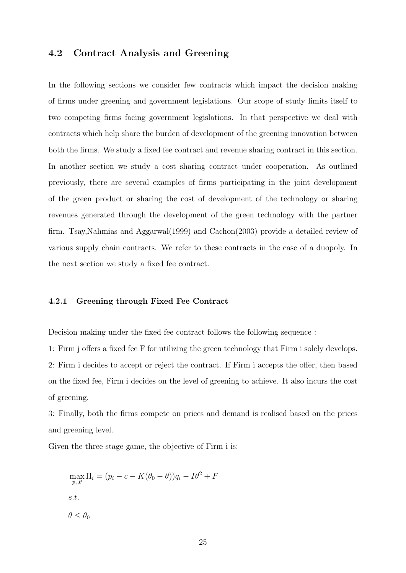## 4.2 Contract Analysis and Greening

In the following sections we consider few contracts which impact the decision making of firms under greening and government legislations. Our scope of study limits itself to two competing firms facing government legislations. In that perspective we deal with contracts which help share the burden of development of the greening innovation between both the firms. We study a fixed fee contract and revenue sharing contract in this section. In another section we study a cost sharing contract under cooperation. As outlined previously, there are several examples of firms participating in the joint development of the green product or sharing the cost of development of the technology or sharing revenues generated through the development of the green technology with the partner firm. Tsay,Nahmias and Aggarwal(1999) and Cachon(2003) provide a detailed review of various supply chain contracts. We refer to these contracts in the case of a duopoly. In the next section we study a fixed fee contract.

### 4.2.1 Greening through Fixed Fee Contract

Decision making under the fixed fee contract follows the following sequence :

1: Firm j offers a fixed fee F for utilizing the green technology that Firm i solely develops. 2: Firm i decides to accept or reject the contract. If Firm i accepts the offer, then based on the fixed fee, Firm i decides on the level of greening to achieve. It also incurs the cost of greening.

3: Finally, both the firms compete on prices and demand is realised based on the prices and greening level.

Given the three stage game, the objective of Firm i is:

$$
\max_{p_i, \theta} \Pi_i = (p_i - c - K(\theta_0 - \theta))q_i - I\theta^2 + F
$$
  
s.t.  

$$
\theta \le \theta_0
$$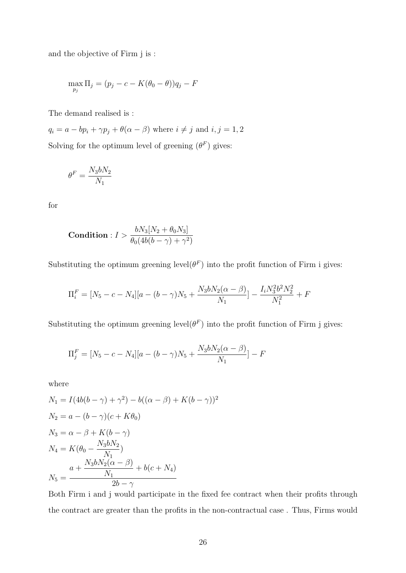and the objective of Firm j is :

$$
\max_{p_j} \Pi_j = (p_j - c - K(\theta_0 - \theta))q_j - F
$$

The demand realised is :

 $q_i = a - bp_i + \gamma p_j + \theta(\alpha - \beta)$  where  $i \neq j$  and  $i, j = 1, 2$ Solving for the optimum level of greening  $(\theta^F)$  gives:

$$
\theta^F=\frac{N_3bN_2}{N_1}
$$

for

$$
Condition: I > \frac{bN_3[N_2 + \theta_0 N_3]}{\theta_0(4b(b-\gamma) + \gamma^2)}
$$

Substituting the optimum greening level $(\theta^F)$  into the profit function of Firm i gives:

$$
\Pi_i^F = [N_5 - c - N_4][a - (b - \gamma)N_5 + \frac{N_3 b N_2(\alpha - \beta)}{N_1}] - \frac{I_i N_3^2 b^2 N_2^2}{N_1^2} + F
$$

Substituting the optimum greening level $(\theta^F)$  into the profit function of Firm j gives:

$$
\Pi_j^F = [N_5 - c - N_4][a - (b - \gamma)N_5 + \frac{N_3 b N_2(\alpha - \beta)}{N_1}] - F
$$

where

$$
N_1 = I(4b(b - \gamma) + \gamma^2) - b((\alpha - \beta) + K(b - \gamma))^2
$$
  
\n
$$
N_2 = a - (b - \gamma)(c + K\theta_0)
$$
  
\n
$$
N_3 = \alpha - \beta + K(b - \gamma)
$$
  
\n
$$
N_4 = K(\theta_0 - \frac{N_3bN_2}{N_1})
$$
  
\n
$$
a + \frac{N_3bN_2(\alpha - \beta)}{N_1} + b(c + N_4)
$$
  
\n
$$
N_5 = \frac{2b - \gamma}{\gamma}
$$

Both Firm i and j would participate in the fixed fee contract when their profits through the contract are greater than the profits in the non-contractual case . Thus, Firms would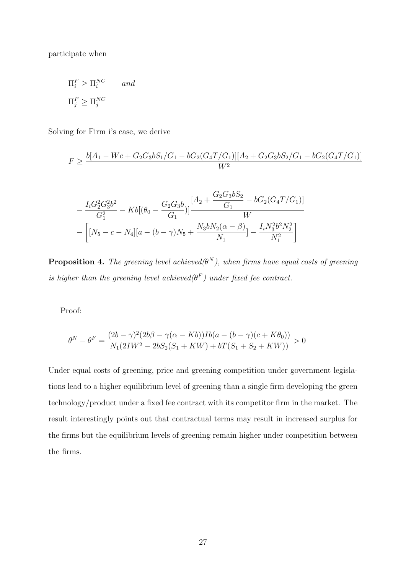participate when

$$
\Pi_i^F \ge \Pi_i^{NC} \qquad and
$$
  

$$
\Pi_j^F \ge \Pi_j^{NC}
$$

Solving for Firm i's case, we derive

$$
F \geq \frac{b[A_1 - Wc + G_2G_3bS_1/G_1 - bG_2(G_4T/G_1)][A_2 + G_2G_3bS_2/G_1 - bG_2(G_4T/G_1)]}{W^2}
$$

$$
-\frac{I_iG_2^2G_3^2b^2}{G_1^2} - Kb[(\theta_0 - \frac{G_2G_3b}{G_1})] \frac{[A_2 + \frac{G_2G_3bS_2}{G_1} - bG_2(G_4T/G_1)]}{W}
$$

$$
-\left[ [N_5 - c - N_4][a - (b - \gamma)N_5 + \frac{N_3bN_2(\alpha - \beta)}{N_1}] - \frac{I_iN_3^2b^2N_2^2}{N_1^2} \right]
$$

**Proposition 4.** The greening level achieved( $\theta^N$ ), when firms have equal costs of greening is higher than the greening level achieved  $(\theta^F)$  under fixed fee contract.

Proof:

$$
\theta^N - \theta^F = \frac{(2b - \gamma)^2 (2b\beta - \gamma(\alpha - Kb)) Ib(a - (b - \gamma)(c + K\theta_0))}{N_1 (2IW^2 - 2bS_2(S_1 + KW) + bT(S_1 + S_2 + KW))} > 0
$$

Under equal costs of greening, price and greening competition under government legislations lead to a higher equilibrium level of greening than a single firm developing the green technology/product under a fixed fee contract with its competitor firm in the market. The result interestingly points out that contractual terms may result in increased surplus for the firms but the equilibrium levels of greening remain higher under competition between the firms.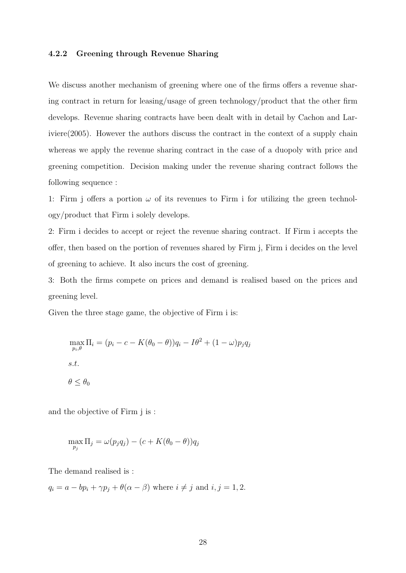#### 4.2.2 Greening through Revenue Sharing

We discuss another mechanism of greening where one of the firms offers a revenue sharing contract in return for leasing/usage of green technology/product that the other firm develops. Revenue sharing contracts have been dealt with in detail by Cachon and Lariviere(2005). However the authors discuss the contract in the context of a supply chain whereas we apply the revenue sharing contract in the case of a duopoly with price and greening competition. Decision making under the revenue sharing contract follows the following sequence :

1: Firm j offers a portion  $\omega$  of its revenues to Firm i for utilizing the green technology/product that Firm i solely develops.

2: Firm i decides to accept or reject the revenue sharing contract. If Firm i accepts the offer, then based on the portion of revenues shared by Firm j, Firm i decides on the level of greening to achieve. It also incurs the cost of greening.

3: Both the firms compete on prices and demand is realised based on the prices and greening level.

Given the three stage game, the objective of Firm i is:

$$
\max_{p_i, \theta} \Pi_i = (p_i - c - K(\theta_0 - \theta))q_i - I\theta^2 + (1 - \omega)p_jq_j
$$
  
s.t.  

$$
\theta \le \theta_0
$$

and the objective of Firm j is :

$$
\max_{p_j} \Pi_j = \omega(p_j q_j) - (c + K(\theta_0 - \theta))q_j
$$

The demand realised is :

$$
q_i = a - bp_i + \gamma p_j + \theta(\alpha - \beta)
$$
 where  $i \neq j$  and  $i, j = 1, 2$ .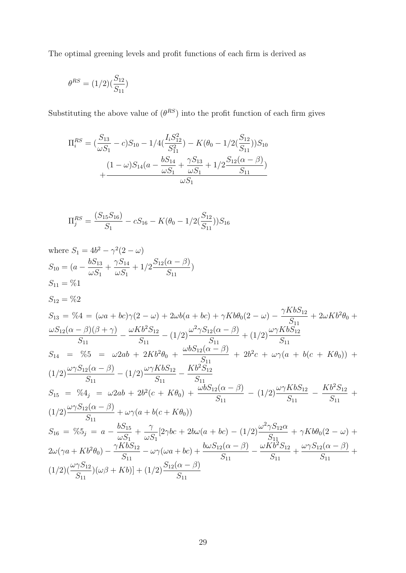The optimal greening levels and profit functions of each firm is derived as

$$
\theta^{RS} = (1/2)(\frac{S_{12}}{S_{11}})
$$

Substituting the above value of  $(\theta^{RS})$  into the profit function of each firm gives

$$
\Pi_i^{RS} = \left(\frac{S_{13}}{\omega S_1} - c\right)S_{10} - \frac{1}{4}\left(\frac{I_i S_{12}^2}{S_{11}^2}\right) - K(\theta_0 - \frac{1}{2}\left(\frac{S_{12}}{S_{11}}\right))S_{10}
$$

$$
+\frac{(1-\omega)S_{14}(a - \frac{bS_{14}}{\omega S_1} + \frac{\gamma S_{13}}{\omega S_1} + \frac{1}{2}\frac{S_{12}(\alpha - \beta)}{S_{11}})}{\omega S_1}
$$

$$
\Pi_j^{RS} = \frac{(S_{15}S_{16})}{S_1} - cS_{16} - K(\theta_0 - 1/2(\frac{S_{12}}{S_{11}}))S_{16}
$$

where 
$$
S_1 = 4b^2 - \gamma^2(2 - \omega)
$$
  
\n $S_{10} = (a - \frac{bS_{13}}{\omega S_1} + \frac{\gamma S_{14}}{\omega S_1} + 1/2 \frac{S_{12}(\alpha - \beta)}{S_{11}})$   
\n $S_{11} = %1$   
\n $S_{12} = %2$   
\n $S_{13} = %4 = (\omega a + bc)\gamma(2 - \omega) + 2\omega b(a + bc) + \gamma Kbb\theta_0(2 - \omega) - \frac{\gamma KbS_{12}}{S_{11}} + 2\omega Kb^2\theta_0 + \frac{\omega S_{12}(\alpha - \beta)(\beta + \gamma)}{S_{11}} - \frac{\omega Kb^2S_{12}}{S_{11}} - (1/2)\frac{\omega^2\gamma S_{12}(\alpha - \beta)}{S_{11}} + (1/2)\frac{\omega\gamma KbS_{12}}{S_{11}}$   
\n $S_{14} = %5 = \omega 2ab + 2Kb^2\theta_0 + \frac{\omega bS_{12}(\alpha - \beta)}{S_{11}} + 2b^2c + \omega\gamma(a + b(c + K\theta_0)) +$   
\n $(1/2)\frac{\omega\gamma S_{12}(\alpha - \beta)}{S_{11}} - (1/2)\frac{\omega\gamma KbS_{12}}{S_{11}} - \frac{Kb^2S_{12}}{S_{11}}$   
\n $S_{15} = %4j = \omega 2ab + 2b^2(c + K\theta_0) + \frac{\omega bS_{12}(\alpha - \beta)}{S_{11}} - (1/2)\frac{\omega\gamma KbS_{12}}{S_{11}} - \frac{Kb^2S_{12}}{S_{11}} +$   
\n $(1/2)\frac{\omega\gamma S_{12}(\alpha - \beta)}{S_{11}} + \omega\gamma(a + b(c + K\theta_0))$   
\n $S_{16} = %5j = a - \frac{bS_{15}}{\omega S_1} + \frac{\gamma}{\omega S_1}[2\gamma bc + 2b\omega(a + bc) - (1/2)\frac{\omega^2\gamma S_{12}\alpha}{S_{11}} + \gamma Kb\theta_0(2 - \omega) +$   
\n $2\omega(\gamma a + Kb^2\theta_0) - \frac{\gamma KbS_{12}}{S_{11}} - \omega$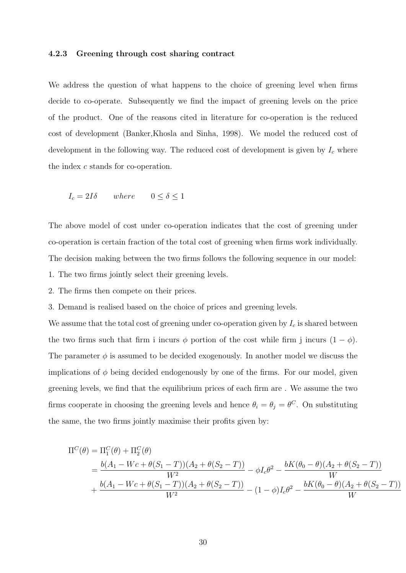#### 4.2.3 Greening through cost sharing contract

We address the question of what happens to the choice of greening level when firms decide to co-operate. Subsequently we find the impact of greening levels on the price of the product. One of the reasons cited in literature for co-operation is the reduced cost of development (Banker,Khosla and Sinha, 1998). We model the reduced cost of development in the following way. The reduced cost of development is given by  $I_c$  where the index c stands for co-operation.

$$
I_c = 2I\delta \qquad where \qquad 0 \le \delta \le 1
$$

The above model of cost under co-operation indicates that the cost of greening under co-operation is certain fraction of the total cost of greening when firms work individually. The decision making between the two firms follows the following sequence in our model: 1. The two firms jointly select their greening levels.

2. The firms then compete on their prices.

3. Demand is realised based on the choice of prices and greening levels.

We assume that the total cost of greening under co-operation given by  $I_c$  is shared between the two firms such that firm i incurs  $\phi$  portion of the cost while firm j incurs  $(1 - \phi)$ . The parameter  $\phi$  is assumed to be decided exogenously. In another model we discuss the implications of  $\phi$  being decided endogenously by one of the firms. For our model, given greening levels, we find that the equilibrium prices of each firm are . We assume the two firms cooperate in choosing the greening levels and hence  $\theta_i = \theta_j = \theta^C$ . On substituting the same, the two firms jointly maximise their profits given by:

$$
\Pi^{C}(\theta) = \Pi_{1}^{C}(\theta) + \Pi_{2}^{C}(\theta)
$$
\n
$$
= \frac{b(A_{1} - Wc + \theta(S_{1} - T))(A_{2} + \theta(S_{2} - T))}{W^{2}} - \phi L_{c} \theta^{2} - \frac{bK(\theta_{0} - \theta)(A_{2} + \theta(S_{2} - T))}{W}
$$
\n
$$
+ \frac{b(A_{1} - Wc + \theta(S_{1} - T))(A_{2} + \theta(S_{2} - T))}{W^{2}} - (1 - \phi)L_{c} \theta^{2} - \frac{bK(\theta_{0} - \theta)(A_{2} + \theta(S_{2} - T))}{W}
$$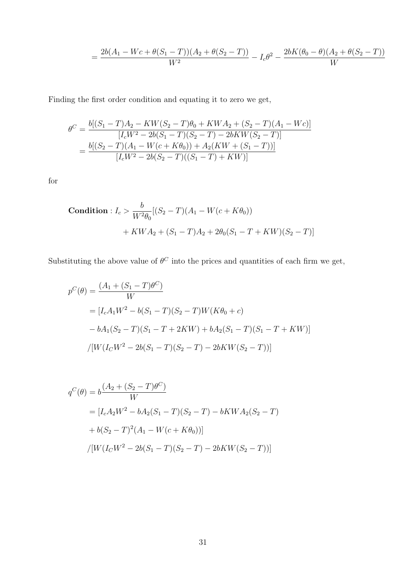$$
=\frac{2b(A_1-Wc+\theta(S_1-T))(A_2+\theta(S_2-T))}{W^2}-I_c\theta^2-\frac{2bK(\theta_0-\theta)(A_2+\theta(S_2-T))}{W}
$$

Finding the first order condition and equating it to zero we get,

$$
\theta^{C} = \frac{b[(S_1 - T)A_2 - KW(S_2 - T)\theta_0 + KWA_2 + (S_2 - T)(A_1 - Wc)]}{[I_cW^2 - 2b(S_1 - T)(S_2 - T) - 2bKW(S_2 - T)]}
$$
  
= 
$$
\frac{b[(S_2 - T)(A_1 - W(c + K\theta_0)) + A_2(KW + (S_1 - T))]}{[I_cW^2 - 2b(S_2 - T)((S_1 - T) + KW)]}
$$

for

Condition : 
$$
I_c > \frac{b}{W^2 \theta_0} [(S_2 - T)(A_1 - W(c + K\theta_0))
$$
  
+  $KWA_2 + (S_1 - T)A_2 + 2\theta_0 (S_1 - T + KW)(S_2 - T)]$ 

Substituting the above value of  $\theta^C$  into the prices and quantities of each firm we get,

$$
p^{C}(\theta) = \frac{(A_{1} + (S_{1} - T)\theta^{C})}{W}
$$
  
=  $[I_{c}A_{1}W^{2} - b(S_{1} - T)(S_{2} - T)W(K\theta_{0} + c)$   
 $- bA_{1}(S_{2} - T)(S_{1} - T + 2KW) + bA_{2}(S_{1} - T)(S_{1} - T + KW)]$   

$$
/[W(I_{C}W^{2} - 2b(S_{1} - T)(S_{2} - T) - 2bKW(S_{2} - T))]
$$

$$
q^{C}(\theta) = b \frac{(A_2 + (S_2 - T)\theta^{C})}{W}
$$
  
=  $[I_c A_2 W^2 - b A_2 (S_1 - T)(S_2 - T) - b K W A_2 (S_2 - T)$   
+  $b(S_2 - T)^2 (A_1 - W(c + K\theta_0))]$   

$$
/[W(I_C W^2 - 2b(S_1 - T)(S_2 - T) - 2b K W(S_2 - T))]
$$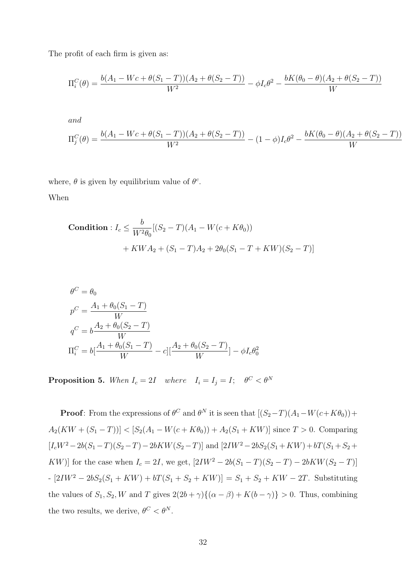The profit of each firm is given as:

$$
\Pi_i^C(\theta) = \frac{b(A_1 - Wc + \theta(S_1 - T))(A_2 + \theta(S_2 - T))}{W^2} - \phi I_c \theta^2 - \frac{bK(\theta_0 - \theta)(A_2 + \theta(S_2 - T))}{W}
$$

and

$$
\Pi_j^C(\theta) = \frac{b(A_1 - Wc + \theta(S_1 - T))(A_2 + \theta(S_2 - T))}{W^2} - (1 - \phi)I_c\theta^2 - \frac{bK(\theta_0 - \theta)(A_2 + \theta(S_2 - T))}{W}
$$

where,  $\theta$  is given by equilibrium value of  $\theta^c$ .

When

Condition : 
$$
I_c \leq \frac{b}{W^2 \theta_0} [(S_2 - T)(A_1 - W(c + K\theta_0))
$$
  
+  $KWA_2 + (S_1 - T)A_2 + 2\theta_0 (S_1 - T + KW)(S_2 - T)]$ 

$$
\theta^{C} = \theta_{0}
$$
\n
$$
p^{C} = \frac{A_{1} + \theta_{0}(S_{1} - T)}{W}
$$
\n
$$
q^{C} = b\frac{A_{2} + \theta_{0}(S_{2} - T)}{W}
$$
\n
$$
\Pi_{i}^{C} = b[\frac{A_{1} + \theta_{0}(S_{1} - T)}{W} - c][\frac{A_{2} + \theta_{0}(S_{2} - T)}{W}] - \phi I_{c} \theta_{0}^{2}
$$

**Proposition 5.** When  $I_c = 2I$  where  $I_i = I_j = I;$   $\theta^C < \theta^N$ 

**Proof**: From the expressions of  $\theta^C$  and  $\theta^N$  it is seen that  $[(S_2-T)(A_1-W(c+K\theta_0))+$  $A_2(KW + (S_1 - T))] < [S_2(A_1 - W(c + K\theta_0)) + A_2(S_1 + KW)]$  since  $T > 0$ . Comparing  $[I_cW^2 - 2b(S_1 - T)(S_2 - T) - 2bKW(S_2 - T)]$  and  $[2IW^2 - 2bS_2(S_1 + KW) + bT(S_1 + S_2 +$ KW)] for the case when  $I_c = 2I$ , we get,  $[2IW^2 - 2b(S_1 - T)(S_2 - T) - 2bKW(S_2 - T)]$ -  $[2IW^2 - 2bS_2(S_1 + KW) + bT(S_1 + S_2 + KW)] = S_1 + S_2 + KW - 2T$ . Substituting the values of  $S_1, S_2, W$  and T gives  $2(2b + \gamma)\{(\alpha - \beta) + K(b - \gamma)\} > 0$ . Thus, combining the two results, we derive,  $\theta^{C} < \theta^{N}$ .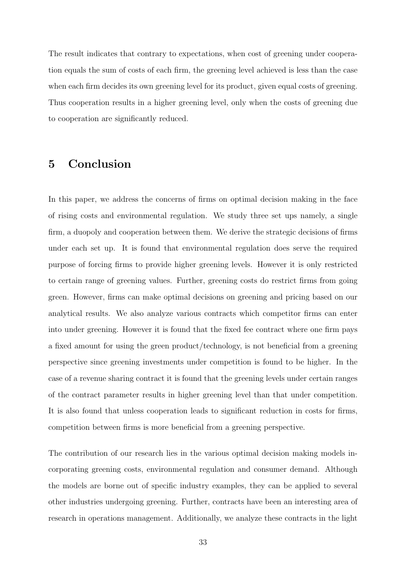The result indicates that contrary to expectations, when cost of greening under cooperation equals the sum of costs of each firm, the greening level achieved is less than the case when each firm decides its own greening level for its product, given equal costs of greening. Thus cooperation results in a higher greening level, only when the costs of greening due to cooperation are significantly reduced.

# 5 Conclusion

In this paper, we address the concerns of firms on optimal decision making in the face of rising costs and environmental regulation. We study three set ups namely, a single firm, a duopoly and cooperation between them. We derive the strategic decisions of firms under each set up. It is found that environmental regulation does serve the required purpose of forcing firms to provide higher greening levels. However it is only restricted to certain range of greening values. Further, greening costs do restrict firms from going green. However, firms can make optimal decisions on greening and pricing based on our analytical results. We also analyze various contracts which competitor firms can enter into under greening. However it is found that the fixed fee contract where one firm pays a fixed amount for using the green product/technology, is not beneficial from a greening perspective since greening investments under competition is found to be higher. In the case of a revenue sharing contract it is found that the greening levels under certain ranges of the contract parameter results in higher greening level than that under competition. It is also found that unless cooperation leads to significant reduction in costs for firms, competition between firms is more beneficial from a greening perspective.

The contribution of our research lies in the various optimal decision making models incorporating greening costs, environmental regulation and consumer demand. Although the models are borne out of specific industry examples, they can be applied to several other industries undergoing greening. Further, contracts have been an interesting area of research in operations management. Additionally, we analyze these contracts in the light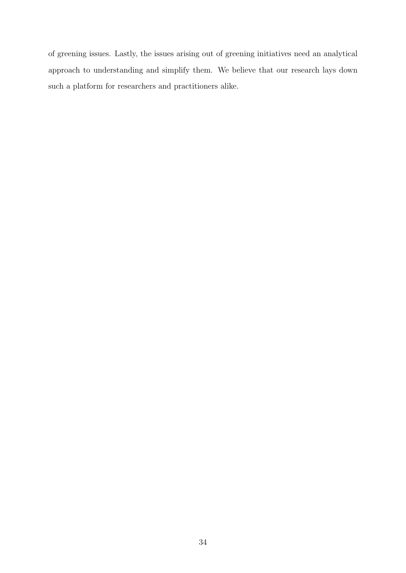of greening issues. Lastly, the issues arising out of greening initiatives need an analytical approach to understanding and simplify them. We believe that our research lays down such a platform for researchers and practitioners alike.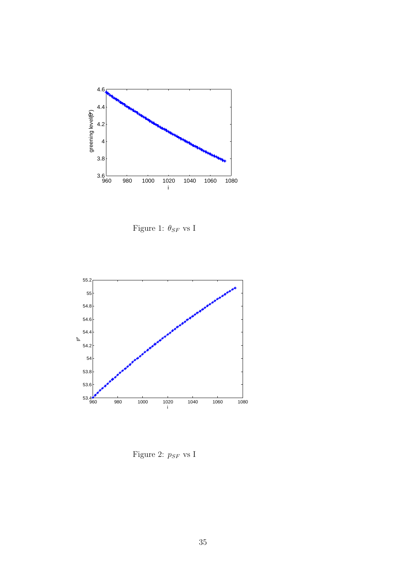

Figure 1:  $\theta_{SF}$  vs I



Figure 2:  $p_{SF}$  vs  $\bar{I}$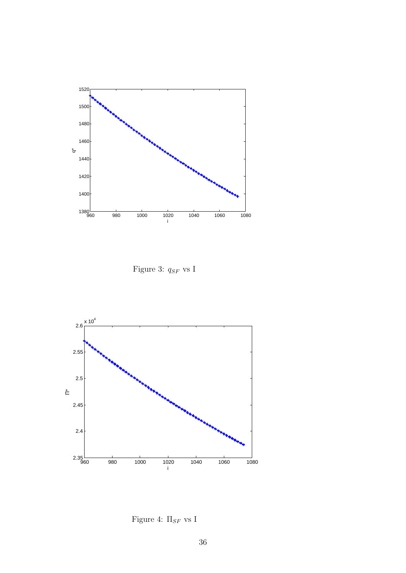

Figure 3:  $q_{SF}$  vs  $\bar{I}$ 



Figure 4:  $\Pi_{SF}$  vs I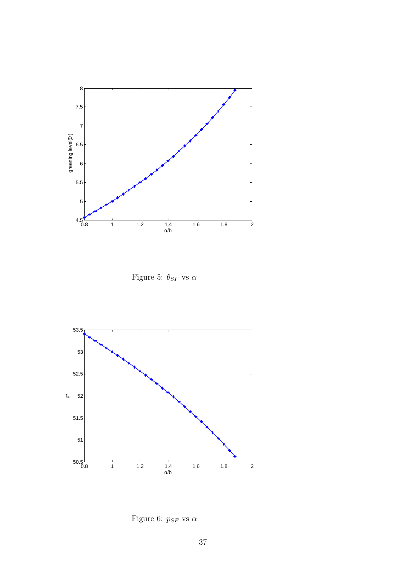

Figure 5:  $\theta_{SF}$  vs  $\alpha$ 



Figure 6:  $p_{SF}$  vs  $\alpha$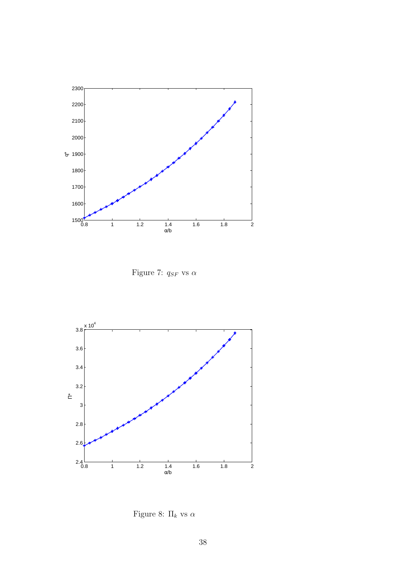

Figure 7:  $q_{SF}$  vs  $\alpha$ 



Figure 8:  $\Pi_k$  vs  $\alpha$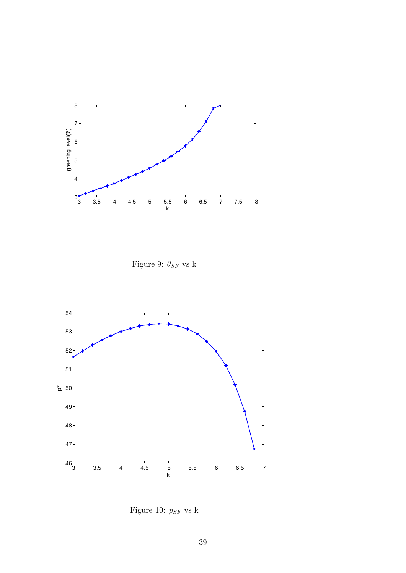

Figure 9: $\theta_{SF}$  vs k



Figure 10:  $p_{SF}$  vs  $\bf k$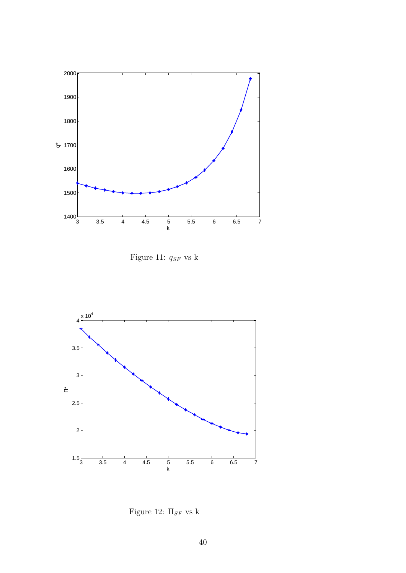

Figure 11: $q_{SF}$  vs  $\mathbf k$ 



Figure 12:  $\Pi_{SF}$  vs k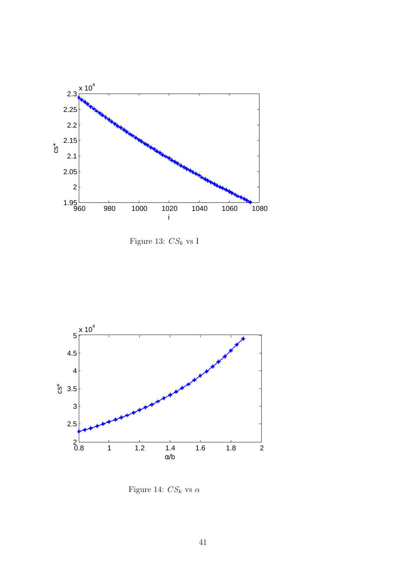

Figure 13:  $\mathcal{CS}_k$  vs I



Figure 14:  $CS_k$  vs  $\alpha$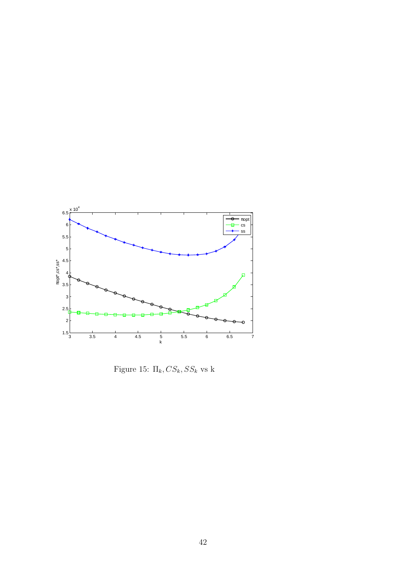

Figure 15:  $\Pi_k, CS_k, SS_k$  vs k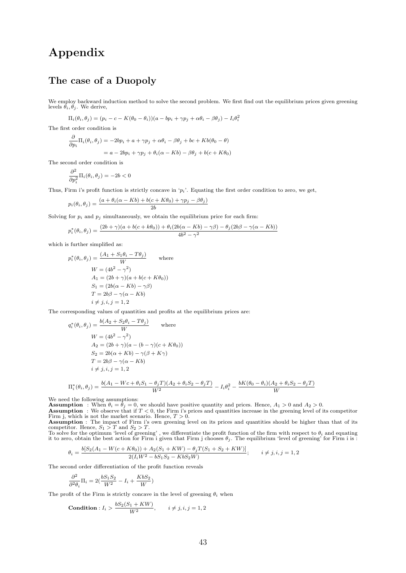# Appendix

## The case of a Duopoly

We employ backward induction method to solve the second problem. We first find out the equilibrium prices given greening levels  $\ddot{\theta_i}, \ddot{\theta_j}$ . We derive,

$$
\Pi_i(\theta_i, \theta_j) = (p_i - c - K(\theta_0 - \theta_i))(a - bp_i + \gamma p_j + \alpha \theta_i - \beta \theta_j) - I_i \theta_i^2
$$

The first order condition is

$$
\frac{\partial}{\partial p_i} \Pi_i(\theta_i, \theta_j) = -2bp_i + a + \gamma p_j + \alpha \theta_i - \beta \theta_j + bc + Kb(\theta_0 - \theta)
$$

$$
= a - 2bp_i + \gamma p_j + \theta_i(\alpha - Kb) - \beta \theta_j + b(c + K\theta_0)
$$

The second order condition is

$$
\frac{\partial^2}{\partial p_i^2} \Pi_i(\theta_i, \theta_j) = -2b < 0
$$

Thus, Firm i's profit function is strictly concave in ' $p_i$ '. Equating the first order condition to zero, we get,

$$
p_i(\theta_i, \theta_j) = \frac{(a + \theta_i(\alpha - Kb) + b(c + K\theta_0) + \gamma p_j - \beta \theta_j)}{2b}
$$

Solving for  $p_i$  and  $p_j$  simultaneously, we obtain the equilibrium price for each firm:

$$
p_i^*(\theta_i, \theta_j) = \frac{(2b + \gamma)(a + b(c + k\theta_0)) + \theta_i(2b(\alpha - Kb) - \gamma\beta) - \theta_j(2b\beta - \gamma(\alpha - Kb))}{4b^2 - \gamma^2}
$$

which is further simplified as:

$$
p_i^*(\theta_i, \theta_j) = \frac{(A_1 + S_1\theta_i - T\theta_j)}{W}
$$
 where  
\n
$$
W = (4b^2 - \gamma^2)
$$
  
\n
$$
A_1 = (2b + \gamma)(a + b(c + K\theta_0))
$$
  
\n
$$
S_1 = (2b(\alpha - Kb) - \gamma\beta)
$$
  
\n
$$
T = 2b\beta - \gamma(\alpha - Kb)
$$
  
\n
$$
i \neq j, i, j = 1, 2
$$

The corresponding values of quantities and profits at the equilibrium prices are:

$$
q_i^*(\theta_i, \theta_j) = \frac{b(A_2 + S_2\theta_i - T\theta_j)}{W}
$$
 where  
\n
$$
W = (4b^2 - \gamma^2)
$$
  
\n
$$
A_2 = (2b + \gamma)(a - (b - \gamma)(c + K\theta_0))
$$
  
\n
$$
S_2 = 2b(\alpha + Kb) - \gamma(\beta + K\gamma)
$$
  
\n
$$
T = 2b\beta - \gamma(\alpha - Kb)
$$
  
\n
$$
i \neq j, i, j = 1, 2
$$
  
\n
$$
\Pi_i^*(\theta_i, \theta_j) = \frac{b(A_1 - Wc + \theta_i S_1 - \theta_j T)(A_2 + \theta_i S_2 - \theta_j T)}{W^2} - I_i\theta_i^2 - \frac{bK(\theta_0 - \theta_i)(A_2 + \theta_i S_2 - \theta_j T)}{W}
$$

$$
W^2
$$

We need the following assumptions:

**Assumption** : When  $\theta_i = \theta_j = 0$ , we should have positive quantity and prices. Hence,  $A_1 > 0$  and  $A_2 > 0$ . **Assumption** : We observe that if  $T < 0$ , the Firm i's prices and quantities increase in the greening level of its competitor

Firm j, which is not the market scenario. Hence,  $T > 0$ . Assumption : The impact of Firm i's own greening level on its prices and quantities should be higher than that of its

W

competitor. Hence,  $S_1 > T$  and  $S_2 > T$ . To solve for the optimum 'level of greening', we differentiate the profit function of the firm with respect to  $\theta_i$  and equating it to zero, obtain the best action for Firm i given that Firm j chooses  $\theta_j$ . The equilibrium 'level of greening' for Firm i is :

$$
\theta_i = \frac{b[S_2(A_1 - W(c + K\theta_0)) + A_2(S_1 + KW) - \theta_j T(S_1 + S_2 + KW)]}{2(I_iW^2 - bS_1S_2 - KbS_2W)}; \qquad i \neq j, i, j = 1, 2
$$

The second order differentiation of the profit function reveals

$$
\frac{\partial^2}{\partial^2 \theta_i} \Pi_i = 2\left(\frac{bS_1S_2}{W^2} - I_i + \frac{KbS_2}{W}\right)
$$

The profit of the Firm is strictly concave in the level of greening  $\theta_i$  when

**Condition**: 
$$
I_i > \frac{bS_2(S_1 + KW)}{W^2}
$$
,  $i \neq j, i, j = 1, 2$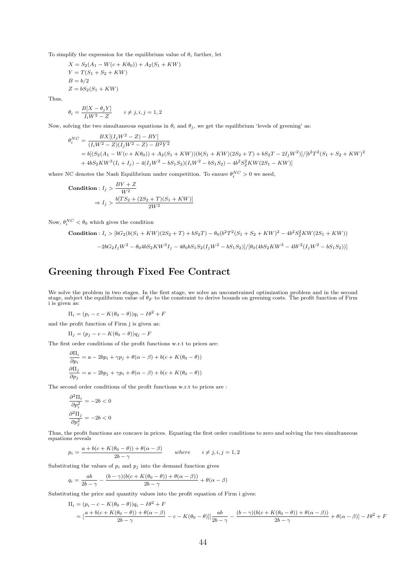To simplify the expression for the equilibrium value of  $\theta_i$  further, let

$$
X = S_2(A_1 - W(c + K\theta_0)) + A_2(S_1 + KW)
$$
  
\n
$$
Y = T(S_1 + S_2 + KW)
$$
  
\n
$$
B = b/2
$$
  
\n
$$
Z = bS_2(S_1 + KW)
$$

Thus,

$$
\theta_i = \frac{B[X - \theta_j Y]}{I_i W^2 - Z} \qquad i \neq j, i, j = 1, 2
$$

Now, solving the two simultaneous equations in  $\theta_i$  and  $\theta_j$ , we get the equilibrium 'levels of greening' as:

$$
\theta_i^{NC} = \frac{BX[(I_jW^2 - Z) - BY]}{(I_iW^2 - Z)(I_jW^2 - Z) - B^2Y^2}
$$
  
=  $b[(S_2(A_1 - W(c + K\theta_0)) + A_2(S_1 + KW))(b(S_1 + KW)(2S_2 + T) + bS_2T - 2I_jW^2)]/[b^2T^2(S_1 + S_2 + KW)^2$   
+  $4bS_2KW^3(I_i + I_j) - 4(I_jW^2 - bS_1S_2)(I_iW^2 - bS_1S_2) - 4b^2S_2^KW(2S_1 - KW)]$ 

where NC denotes the Nash Equilibrium under competition. To ensure  $\theta_i^{NC} > 0$  we need,

$$
\begin{aligned} \text{Condition}: I_j > \frac{BY + Z}{W^2} \\ &\Rightarrow I_j > \frac{b[TS_2 + (2S_2 + T)(S_1 + KW)]}{2W^2} \end{aligned}
$$

Now,  $\theta_i^{NC} < \theta_0$  which gives the condition

Condition: 
$$
I_i > [bG_2(b(S_1 + KW)(2S_2 + T) + bS_2T) - \theta_0(b^2T^2(S_1 + S_2 + KW)^2 - 4b^2S_2^2KW(2S_1 + KW)) - 2bG_2I_jW^2 - \theta_04bS_2KW^3I_j - 4\theta_0bS_1S_2(I_jW^2 - bS_1S_2)]/[\theta_0(4bS_2KW^3 - 4W^2(I_jW^2 - bS_1S_2))]
$$

## Greening through Fixed Fee Contract

We solve the problem in two stages. In the first stage, we solve an unconstrained optimization problem and in the second stage, subject the equilibrium value of  $\theta_F$  to the constraint to derive bounds on greening costs. The profit function of Firm i is given as:

$$
\Pi_i = (p_i - c - K(\theta_0 - \theta))q_i - I\theta^2 + F
$$

and the profit function of Firm j is given as:

$$
\Pi_j = (p_j - c - K(\theta_0 - \theta))q_j - F
$$

The first order conditions of the profit functions w.r.t to prices are:

$$
\frac{\partial \Pi_i}{\partial p_i} = a - 2bp_i + \gamma p_j + \theta(\alpha - \beta) + b(c + K(\theta_0 - \theta))
$$

$$
\frac{\partial \Pi_j}{\partial p_j} = a - 2bp_j + \gamma p_i + \theta(\alpha - \beta) + b(c + K(\theta_0 - \theta))
$$

The second order conditions of the profit functions w.r.t to prices are :

$$
\begin{aligned} \frac{\partial^2 \Pi_i}{\partial p_i^2} &= -2b < 0 \\ \frac{\partial^2 \Pi_j}{\partial p_j^2} &= -2b < 0 \end{aligned}
$$

Thus, the profit functions are concave in prices. Equating the first order conditions to zero and solving the two simultaneous equations reveals

$$
p_i = \frac{a + b(c + K(\theta_0 - \theta)) + \theta(\alpha - \beta)}{2b - \gamma} \quad where \quad i \neq j, i, j = 1, 2
$$

Substituting the values of  $p_i$  and  $p_j$  into the demand function gives

$$
q_i = \frac{ab}{2b - \gamma} - \frac{(b - \gamma)(b(c + K(\theta_0 - \theta)) + \theta(\alpha - \beta))}{2b - \gamma} + \theta(\alpha - \beta)
$$

Substituting the price and quantity values into the profit equation of Firm i gives:

$$
\Pi_i = (p_i - c - K(\theta_0 - \theta))q_i - I\theta^2 + F
$$
\n
$$
= \left[\frac{a + b(c + K(\theta_0 - \theta)) + \theta(\alpha - \beta)}{2b - \gamma} - c - K(\theta_0 - \theta)\right]\left[\frac{ab}{2b - \gamma} - \frac{(b - \gamma)(b(c + K(\theta_0 - \theta)) + \theta(\alpha - \beta))}{2b - \gamma} + \theta(\alpha - \beta)\right] - I\theta^2 + F
$$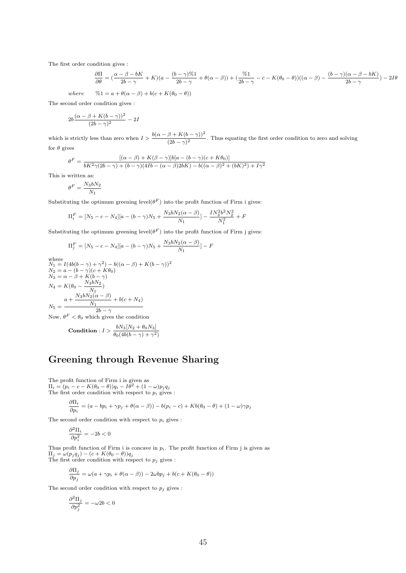The first order condition gives :

$$
\frac{\partial \Pi}{\partial \theta} = \left(\frac{\alpha - \beta - bK}{2b - \gamma} + K\right)(a - \frac{(b - \gamma)\%1}{2b - \gamma} + \theta(\alpha - \beta)) + \left(\frac{\%1}{2b - \gamma} - c - K(\theta_0 - \theta)\right)((\alpha - \beta) - \frac{(b - \gamma)(\alpha - \beta - bK)}{2b - \gamma}) - 2I\theta_0
$$

where  $\%1 = a + \theta(\alpha - \beta) + b(c + K(\theta_0 - \theta))$ 

The second order condition gives :

$$
2b\frac{(\alpha-\beta+K(b-\gamma))^2}{(2b-\gamma)^2}-2I
$$

which is strictly less than zero when  $I > \frac{b(\alpha - \beta + K(b - \gamma))^2}{\beta}$  $\frac{(2b-\gamma)^2}{(2b-\gamma)^2}$ . Thus equating the first order condition to zero and solving for  $\theta$  gives

$$
\theta^{F} = \frac{[(\alpha - \beta) + K(\beta - \gamma)]b[a - (b - \gamma)(c + K\theta_{0})]}{bK^{2}\gamma(2b - \gamma) + (b - \gamma)(4Ib - (\alpha - \beta)2bK) - b((\alpha - \beta)^{2} + (bK)^{2}) + I\gamma^{2}}
$$

This is written as:

$$
\theta^F=\frac{N_3bN_2}{N_1}
$$

Substituting the optimum greening level( $\theta^F$ ) into the profit function of Firm i gives:

$$
\Pi_i^F = [N_5 - c - N_4][a - (b - \gamma)N_5 + \frac{N_3bN_2(\alpha - \beta)}{N_1}] - \frac{IN_3^2b^2N_2^2}{N_1^2} + F
$$

Substituting the optimum greening level $(\theta^F)$  into the profit function of Firm j gives:

$$
\Pi_j^F = [N_5 - c - N_4][a - (b - \gamma)N_5 + \frac{N_3 b N_2(\alpha - \beta)}{N_1}] - F
$$

where  $N_1 = I(4b(b - \gamma) + \gamma^2) - b((\alpha - \beta) + K(b - \gamma))^2$  $N_2 = a - (b - \gamma)(c + K\theta_0)$  $N_3 = \alpha - \beta + K(b - \gamma)$  $N_4 = K(\theta_0 - \frac{N_3 b N_2}{N_1})$  $\frac{3^{31/2}}{N_1}$  $N_5 =$  $a + \frac{N_3 b N_2(\alpha - \beta)}{N}$  $\frac{2(x-\mu)}{N_1} + b(c+N_4)$  $2b - \gamma$ 

Now,  $\theta^F < \theta_0$  which gives the condition

$$
\textbf{Condition}: I > \frac{bN_3[N_2+\theta_0N_3]}{\theta_0(4b(b-\gamma)+\gamma^2)}
$$

## Greening through Revenue Sharing

The profit function of Firm i is given as<br>  $\Pi_i = (p_i - c - K(\theta_0 - \theta))q_i - I\theta^2 + (1 - \omega)p_jq_j$ The first order condition with respect to  $p_i$  gives :

$$
\frac{\partial \Pi_i}{\partial p_i} = (a - bp_i + \gamma p_j + \theta(\alpha - \beta)) - b(p_i - c) + Kb(\theta_0 - \theta) + (1 - \omega)\gamma p_j
$$

The second order condition with respect to  $p_i$  gives :

$$
\frac{\partial^2\Pi_i}{\partial p_i^2}=-2b<0
$$

Thus profit function of Firm i is concave in  $p_i$ . The profit function of Firm j is given as  $\Pi_j = \omega(p_j q_j) - (c + K(\theta_0 - \theta))q_j$ The first order condition with respect to  $p_j$  gives :

$$
\frac{\partial \Pi_j}{\partial p_j} = \omega(a + \gamma p_i + \theta(\alpha - \beta)) - 2\omega b p_j + b(c + K(\theta_0 - \theta))
$$

The second order condition with respect to  $p_i$  gives :

$$
\frac{\partial^2 \Pi_j}{\partial p_j^2} = -\omega 2b < 0
$$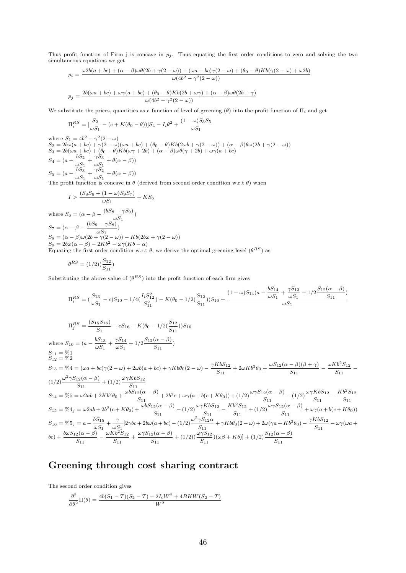Thus profit function of Firm j is concave in  $p_j$ . Thus equating the first order conditions to zero and solving the two simultaneous equations we get

$$
p_i = \frac{\omega 2b(a+bc) + (\alpha - \beta)\omega\theta(2b + \gamma(2-\omega)) + (\omega a + bc)\gamma(2-\omega) + (\theta_0 - \theta)Kb(\gamma(2-\omega) + \omega 2b)}{\omega(4b^2 - \gamma^2(2-\omega))}
$$

$$
p_j = \frac{2b(\omega a + bc) + \omega\gamma(a+bc) + (\theta_0 - \theta)Kb(2b+\omega\gamma) + (\alpha - \beta)\omega\theta(2b+\gamma)}{\omega(4b^2 - \gamma^2(2-\omega))}
$$

We substitute the prices, quantities as a function of level of greening  $(\theta)$  into the profit function of  $\Pi_i$  and get

$$
\Pi_i^{RS} = \left[\frac{S_2}{\omega S_1} - (c + K(\theta_0 - \theta))\right]S_4 - I_i\theta^2 + \frac{(1 - \omega)S_3S_5}{\omega S_1}
$$

where  $S_1 = 4b^2 - \gamma^2(2 - \omega)$  $S_2 = 2b\omega(a + bc) + \gamma(2 - \omega)(\omega a + bc) + (\theta_0 - \theta)Kb(2\omega b + \gamma(2 - \omega)) + (\alpha - \beta)\theta\omega(2b + \gamma(2 - \omega))$  $S_3 = 2b(\omega a + bc) + (\theta_0 - \theta)Kb(\omega\gamma + 2b) + (\alpha - \beta)\omega\theta(\gamma + 2b) + \omega\gamma(a + bc)$  $S_4 = (a - \frac{bS_2}{a})$  $rac{bS_2}{\omega S_1} + \frac{\gamma S_3}{\omega S_1}$  $\frac{\partial^2 S}{\partial \omega S_1} + \theta(\alpha - \beta)$  $S_5 = (a - \frac{bS_3}{a})$  $rac{bS_3}{\omega S_1} + \frac{\gamma S_2}{\omega S_1}$  $\frac{1}{\omega S_1} + \theta(\alpha - \beta)$ The profit function is concave in  $\theta$  (derived from second order condition w.r.t  $\theta$ ) when

$$
I > \frac{(S_8S_6 + (1 - \omega)S_9S_7)}{\omega S_1} + KS_6
$$

where  $S_6 = (\alpha - \beta - \frac{(bS_8 - \gamma S_9)}{S_9})$  $\frac{1}{\omega S_1}$  $S_7 = (\alpha - \beta - \frac{(bS_9 - \gamma S_8)}{\alpha})$  $\frac{\sqrt{2}S_1}{\omega S_1}$  $S_8 = (\alpha - \beta)\omega(2b + \gamma(2 - \omega)) - Kb(2b\omega + \gamma(2 - \omega))$  $S_9 = 2b\omega(\alpha - \beta) - 2Kb^2 - \omega\gamma(Kb - \alpha)$ Equating the first order condition w.r.t  $\theta$ , we derive the optimal greening level  $(\theta^{RS})$  as

$$
\theta^{RS} = (1/2)(\frac{S_{12}}{S_{11}})
$$

Substituting the above value of  $(\theta^{RS})$  into the profit function of each firm gives

$$
\Pi_i^{RS} = \left(\frac{S_{13}}{\omega S_1} - c\right)S_{10} - \frac{1}{4}\left(\frac{I_i S_{12}^2}{S_{11}^2}\right) - K(\theta_0 - 1/2\left(\frac{S_{12}}{S_{11}}\right))S_{10} + \frac{(1 - \omega)S_{14}(a - \frac{bS_{14}}{\omega S_1} + \frac{\gamma S_{13}}{\omega S_1} + \frac{1}{2}\frac{S_{12}(\alpha - \beta)}{S_{11}})}{\omega S_1}
$$

$$
\Pi_{j}^{RS} = \frac{(S_{15}S_{16})}{S_{1}} - cS_{16} - K(\theta_{0} - 1/2(\frac{S_{12}}{S_{11}}))S_{16}
$$
\nwhere  $S_{10} = (a - \frac{bS_{13}}{\omega S_{1}} + \frac{\gamma S_{14}}{\omega S_{1}} + 1/2 \frac{S_{12}(\alpha - \beta)}{S_{11}})$   
\n $S_{11} = \frac{\%1}{\%1}$   
\n $S_{12} = \frac{\%2}{\%2}$   
\n $S_{13} = \frac{\%4}{\%1} = (\omega a + bc)\gamma(2 - \omega) + 2\omega b(a + bc) + \gamma Kb\theta_{0}(2 - \omega) - \frac{\gamma KbS_{12}}{S_{11}} + 2\omega Kb^{2}\theta_{0} + \frac{\omega S_{12}(\alpha - \beta)(\beta + \gamma)}{S_{11}} - \frac{\omega Kb^{2}S_{12}}{S_{11}} -$   
\n $(1/2)\frac{\omega^{2}\gamma S_{12}(\alpha - \beta)}{S_{11}} + (1/2)\frac{\omega\gamma KbS_{12}}{S_{11}}$   
\n $S_{14} = \frac{\%5}{\%5} = \omega 2ab + 2Kb^{2}\theta_{0} + \frac{\omega bS_{12}(\alpha - \beta)}{S_{11}} + 2b^{2}c + \omega\gamma(a + b(c + K\theta_{0})) + (1/2)\frac{\omega\gamma S_{12}(\alpha - \beta)}{S_{11}} - (1/2)\frac{\omega\gamma KbS_{12}}{S_{11}} - \frac{Kb^{2}S_{12}}{S_{11}}$   
\n $S_{15} = \frac{\%4}{\%5} = \omega 2ab + 2b^{2}(c + K\theta_{0}) + \frac{\omega bS_{12}(\alpha - \beta)}{S_{11}} - (1/2)\frac{\omega\gamma KbS_{12}}{S_{11}} - \frac{Kb^{2}S_{12}}{S_{11}} + (1/2)\frac{\omega\gamma S_{12}(\alpha - \beta)}{S_{11}} + \omega\gamma(a + b(c + K\theta_{0}))$   
\n $S_{16} = \frac{\%5}{\%5} = a - \frac{bS_{15}}{\omega S_{1}} + \frac{\gamma}{\omega S_{1}}[2\gamma bc + 2b$ 

## Greening through cost sharing contract

The second order condition gives

$$
\frac{\partial^2}{\partial \theta^2} \Pi(\theta) = \frac{4b(S_1 - T)(S_2 - T) - 2I_cW^2 + 4BKW(S_2 - T)}{W^2}
$$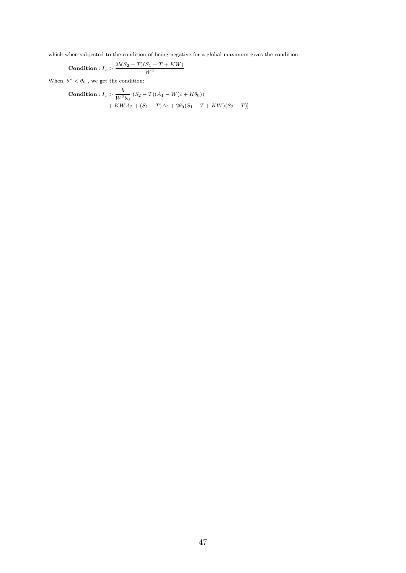which when subjected to the condition of being negative for a global maximum gives the condition

$$
Condition: I_c > \frac{2b(S_2 - T)(S_1 - T + KW)}{W^2}
$$

When,  $\theta^* < \theta_0$ , we get the condition:

Condition: 
$$
I_c > \frac{b}{W^2 \theta_0} [(S_2 - T)(A_1 - W(c + K\theta_0))
$$
  
+  $KWA_2 + (S_1 - T)A_2 + 2\theta_0(S_1 - T + KW)(S_2 - T)]$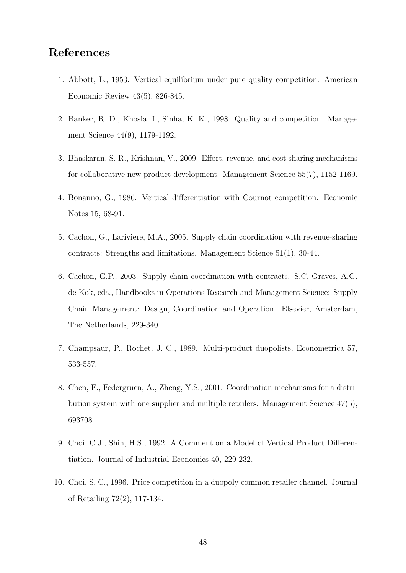# References

- 1. Abbott, L., 1953. Vertical equilibrium under pure quality competition. American Economic Review 43(5), 826-845.
- 2. Banker, R. D., Khosla, I., Sinha, K. K., 1998. Quality and competition. Management Science 44(9), 1179-1192.
- 3. Bhaskaran, S. R., Krishnan, V., 2009. Effort, revenue, and cost sharing mechanisms for collaborative new product development. Management Science 55(7), 1152-1169.
- 4. Bonanno, G., 1986. Vertical differentiation with Cournot competition. Economic Notes 15, 68-91.
- 5. Cachon, G., Lariviere, M.A., 2005. Supply chain coordination with revenue-sharing contracts: Strengths and limitations. Management Science 51(1), 30-44.
- 6. Cachon, G.P., 2003. Supply chain coordination with contracts. S.C. Graves, A.G. de Kok, eds., Handbooks in Operations Research and Management Science: Supply Chain Management: Design, Coordination and Operation. Elsevier, Amsterdam, The Netherlands, 229-340.
- 7. Champsaur, P., Rochet, J. C., 1989. Multi-product duopolists, Econometrica 57, 533-557.
- 8. Chen, F., Federgruen, A., Zheng, Y.S., 2001. Coordination mechanisms for a distribution system with one supplier and multiple retailers. Management Science 47(5), 693708.
- 9. Choi, C.J., Shin, H.S., 1992. A Comment on a Model of Vertical Product Differentiation. Journal of Industrial Economics 40, 229-232.
- 10. Choi, S. C., 1996. Price competition in a duopoly common retailer channel. Journal of Retailing 72(2), 117-134.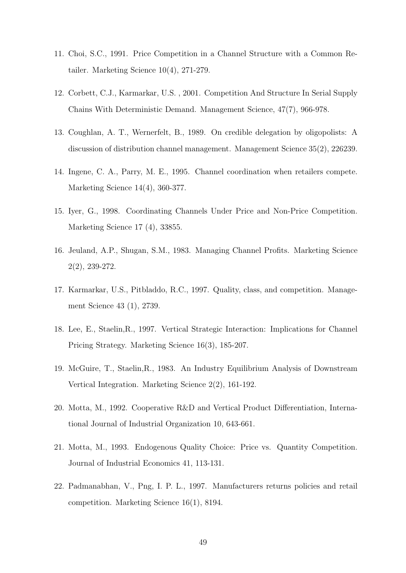- 11. Choi, S.C., 1991. Price Competition in a Channel Structure with a Common Retailer. Marketing Science 10(4), 271-279.
- 12. Corbett, C.J., Karmarkar, U.S. , 2001. Competition And Structure In Serial Supply Chains With Deterministic Demand. Management Science, 47(7), 966-978.
- 13. Coughlan, A. T., Wernerfelt, B., 1989. On credible delegation by oligopolists: A discussion of distribution channel management. Management Science 35(2), 226239.
- 14. Ingene, C. A., Parry, M. E., 1995. Channel coordination when retailers compete. Marketing Science 14(4), 360-377.
- 15. Iyer, G., 1998. Coordinating Channels Under Price and Non-Price Competition. Marketing Science 17 (4), 33855.
- 16. Jeuland, A.P., Shugan, S.M., 1983. Managing Channel Profits. Marketing Science 2(2), 239-272.
- 17. Karmarkar, U.S., Pitbladdo, R.C., 1997. Quality, class, and competition. Management Science 43 (1), 2739.
- 18. Lee, E., Staelin,R., 1997. Vertical Strategic Interaction: Implications for Channel Pricing Strategy. Marketing Science 16(3), 185-207.
- 19. McGuire, T., Staelin,R., 1983. An Industry Equilibrium Analysis of Downstream Vertical Integration. Marketing Science 2(2), 161-192.
- 20. Motta, M., 1992. Cooperative R&D and Vertical Product Differentiation, International Journal of Industrial Organization 10, 643-661.
- 21. Motta, M., 1993. Endogenous Quality Choice: Price vs. Quantity Competition. Journal of Industrial Economics 41, 113-131.
- 22. Padmanabhan, V., Png, I. P. L., 1997. Manufacturers returns policies and retail competition. Marketing Science 16(1), 8194.